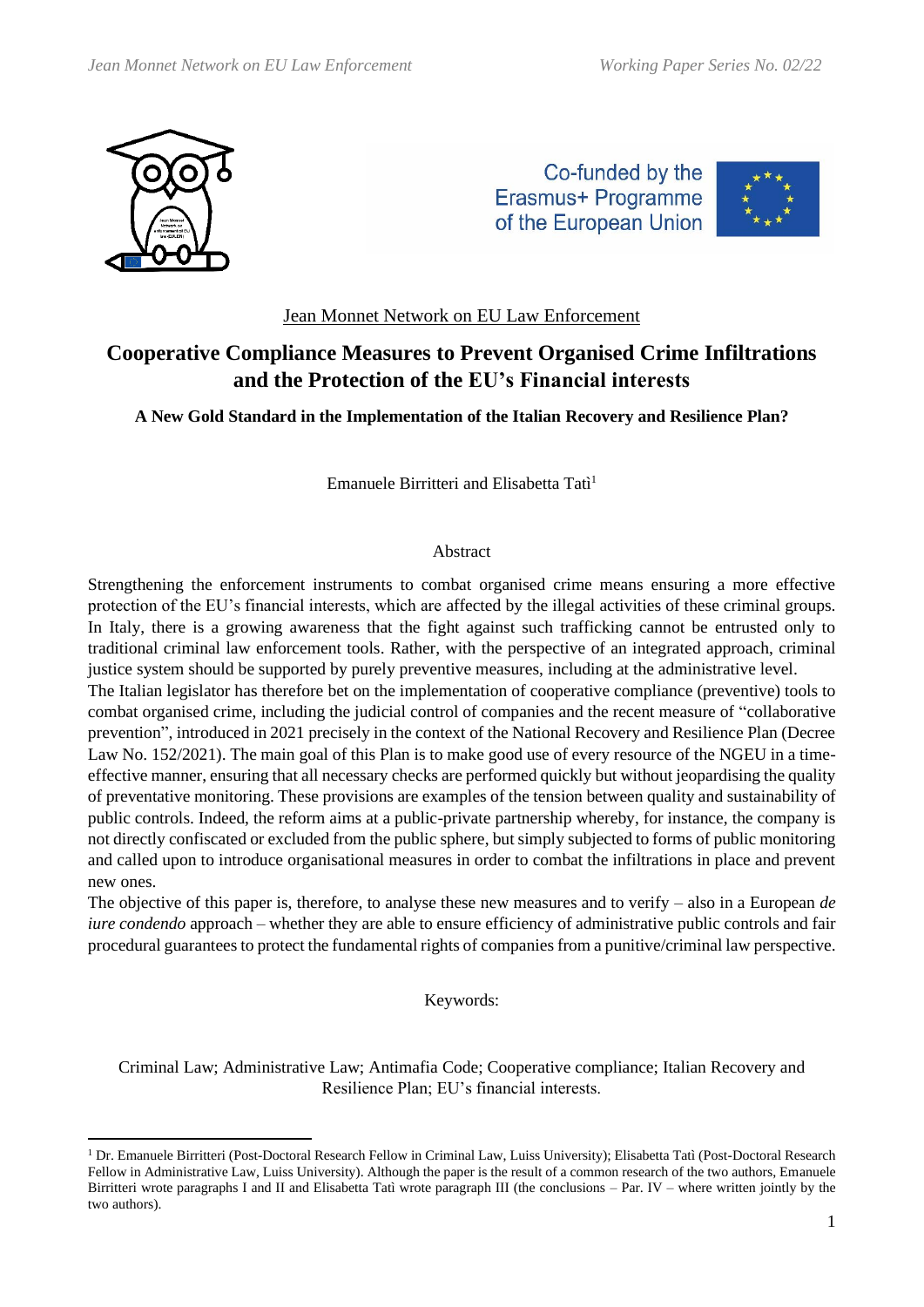

Co-funded by the Erasmus+ Programme of the European Union



# Jean Monnet Network on EU Law Enforcement

# **Cooperative Compliance Measures to Prevent Organised Crime Infiltrations and the Protection of the EU's Financial interests**

**A New Gold Standard in the Implementation of the Italian Recovery and Resilience Plan?**

Emanuele Birritteri and Elisabetta Tatì<sup>1</sup>

# Abstract

Strengthening the enforcement instruments to combat organised crime means ensuring a more effective protection of the EU's financial interests, which are affected by the illegal activities of these criminal groups. In Italy, there is a growing awareness that the fight against such trafficking cannot be entrusted only to traditional criminal law enforcement tools. Rather, with the perspective of an integrated approach, criminal justice system should be supported by purely preventive measures, including at the administrative level.

The Italian legislator has therefore bet on the implementation of cooperative compliance (preventive) tools to combat organised crime, including the judicial control of companies and the recent measure of "collaborative prevention", introduced in 2021 precisely in the context of the National Recovery and Resilience Plan (Decree Law No. 152/2021). The main goal of this Plan is to make good use of every resource of the NGEU in a timeeffective manner, ensuring that all necessary checks are performed quickly but without jeopardising the quality of preventative monitoring. These provisions are examples of the tension between quality and sustainability of public controls. Indeed, the reform aims at a public-private partnership whereby, for instance, the company is not directly confiscated or excluded from the public sphere, but simply subjected to forms of public monitoring and called upon to introduce organisational measures in order to combat the infiltrations in place and prevent new ones.

The objective of this paper is, therefore, to analyse these new measures and to verify – also in a European *de iure condendo* approach – whether they are able to ensure efficiency of administrative public controls and fair procedural guarantees to protect the fundamental rights of companies from a punitive/criminal law perspective.

# Keywords:

Criminal Law; Administrative Law; Antimafia Code; Cooperative compliance; Italian Recovery and Resilience Plan; EU's financial interests.

<sup>&</sup>lt;sup>1</sup> Dr. Emanuele Birritteri (Post-Doctoral Research Fellow in Criminal Law, Luiss University); Elisabetta Tatì (Post-Doctoral Research Fellow in Administrative Law, Luiss University). Although the paper is the result of a common research of the two authors, Emanuele Birritteri wrote paragraphs I and II and Elisabetta Tatì wrote paragraph III (the conclusions – Par. IV – where written jointly by the two authors).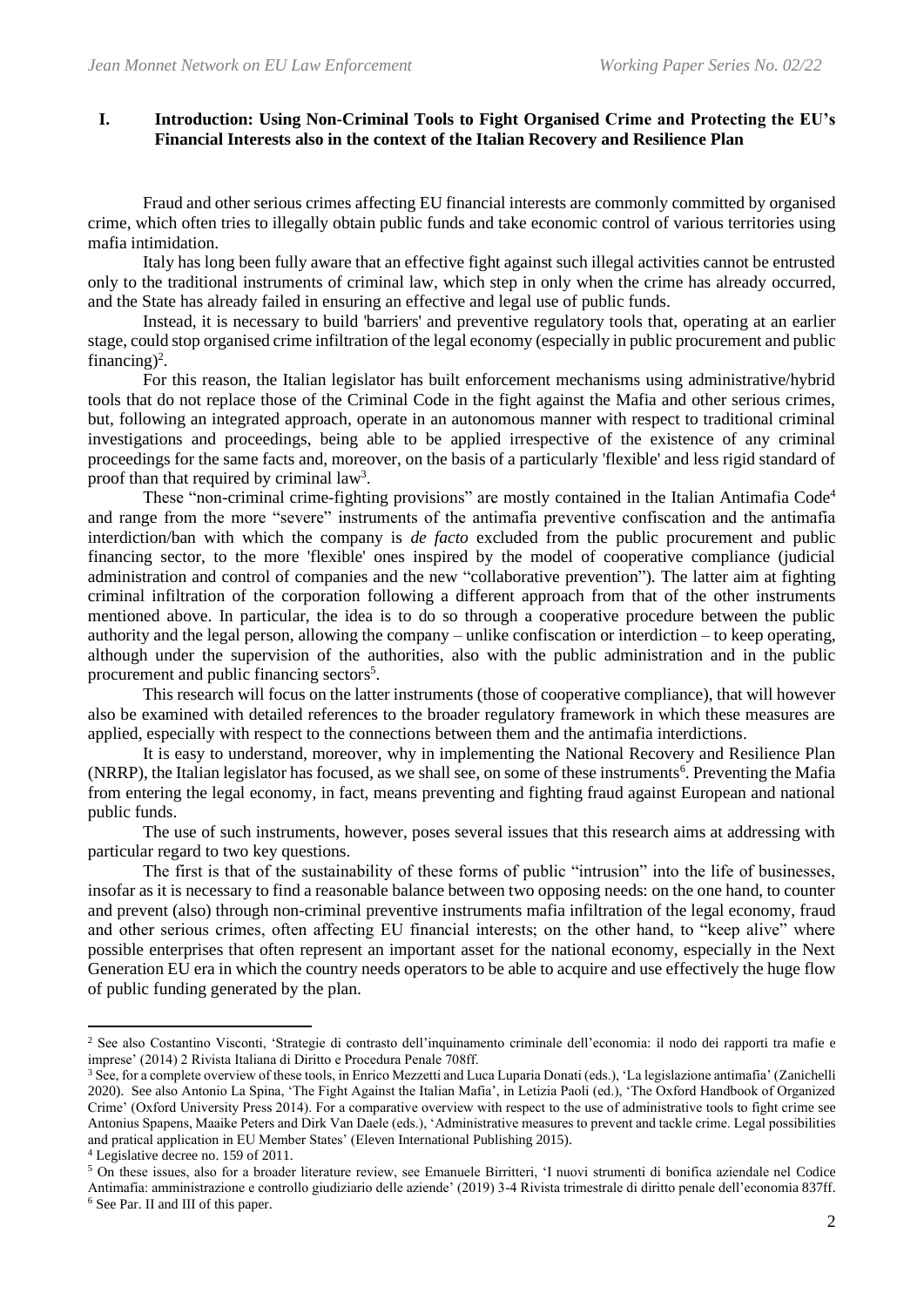# **I. Introduction: Using Non-Criminal Tools to Fight Organised Crime and Protecting the EU's Financial Interests also in the context of the Italian Recovery and Resilience Plan**

Fraud and other serious crimes affecting EU financial interests are commonly committed by organised crime, which often tries to illegally obtain public funds and take economic control of various territories using mafia intimidation.

Italy has long been fully aware that an effective fight against such illegal activities cannot be entrusted only to the traditional instruments of criminal law, which step in only when the crime has already occurred, and the State has already failed in ensuring an effective and legal use of public funds.

Instead, it is necessary to build 'barriers' and preventive regulatory tools that, operating at an earlier stage, could stop organised crime infiltration of the legal economy (especially in public procurement and public financing)<sup>2</sup>.

For this reason, the Italian legislator has built enforcement mechanisms using administrative/hybrid tools that do not replace those of the Criminal Code in the fight against the Mafia and other serious crimes, but, following an integrated approach, operate in an autonomous manner with respect to traditional criminal investigations and proceedings, being able to be applied irrespective of the existence of any criminal proceedings for the same facts and, moreover, on the basis of a particularly 'flexible' and less rigid standard of proof than that required by criminal law<sup>3</sup>.

These "non-criminal crime-fighting provisions" are mostly contained in the Italian Antimafia Code<sup>4</sup> and range from the more "severe" instruments of the antimafia preventive confiscation and the antimafia interdiction/ban with which the company is *de facto* excluded from the public procurement and public financing sector, to the more 'flexible' ones inspired by the model of cooperative compliance (judicial administration and control of companies and the new "collaborative prevention"). The latter aim at fighting criminal infiltration of the corporation following a different approach from that of the other instruments mentioned above. In particular, the idea is to do so through a cooperative procedure between the public authority and the legal person, allowing the company – unlike confiscation or interdiction – to keep operating, although under the supervision of the authorities, also with the public administration and in the public procurement and public financing sectors<sup>5</sup>.

This research will focus on the latter instruments (those of cooperative compliance), that will however also be examined with detailed references to the broader regulatory framework in which these measures are applied, especially with respect to the connections between them and the antimafia interdictions.

It is easy to understand, moreover, why in implementing the National Recovery and Resilience Plan (NRRP), the Italian legislator has focused, as we shall see, on some of these instruments<sup>6</sup>. Preventing the Mafia from entering the legal economy, in fact, means preventing and fighting fraud against European and national public funds.

The use of such instruments, however, poses several issues that this research aims at addressing with particular regard to two key questions.

The first is that of the sustainability of these forms of public "intrusion" into the life of businesses, insofar as it is necessary to find a reasonable balance between two opposing needs: on the one hand, to counter and prevent (also) through non-criminal preventive instruments mafia infiltration of the legal economy, fraud and other serious crimes, often affecting EU financial interests; on the other hand, to "keep alive" where possible enterprises that often represent an important asset for the national economy, especially in the Next Generation EU era in which the country needs operators to be able to acquire and use effectively the huge flow of public funding generated by the plan.

<sup>2</sup> See also Costantino Visconti, 'Strategie di contrasto dell'inquinamento criminale dell'economia: il nodo dei rapporti tra mafie e imprese' (2014) 2 Rivista Italiana di Diritto e Procedura Penale 708ff.

<sup>&</sup>lt;sup>3</sup> See, for a complete overview of these tools, in Enrico Mezzetti and Luca Luparia Donati (eds.), 'La legislazione antimafia' (Zanichelli 2020). See also Antonio La Spina, 'The Fight Against the Italian Mafia', in Letizia Paoli (ed.), 'The Oxford Handbook of Organized Crime' (Oxford University Press 2014). For a comparative overview with respect to the use of administrative tools to fight crime see Antonius Spapens, Maaike Peters and Dirk Van Daele (eds.), 'Administrative measures to prevent and tackle crime. Legal possibilities and pratical application in EU Member States' (Eleven International Publishing 2015).

<sup>4</sup> Legislative decree no. 159 of 2011.

<sup>5</sup> On these issues, also for a broader literature review, see Emanuele Birritteri, 'I nuovi strumenti di bonifica aziendale nel Codice Antimafia: amministrazione e controllo giudiziario delle aziende' (2019) 3-4 Rivista trimestrale di diritto penale dell'economia 837ff. <sup>6</sup> See Par. II and III of this paper.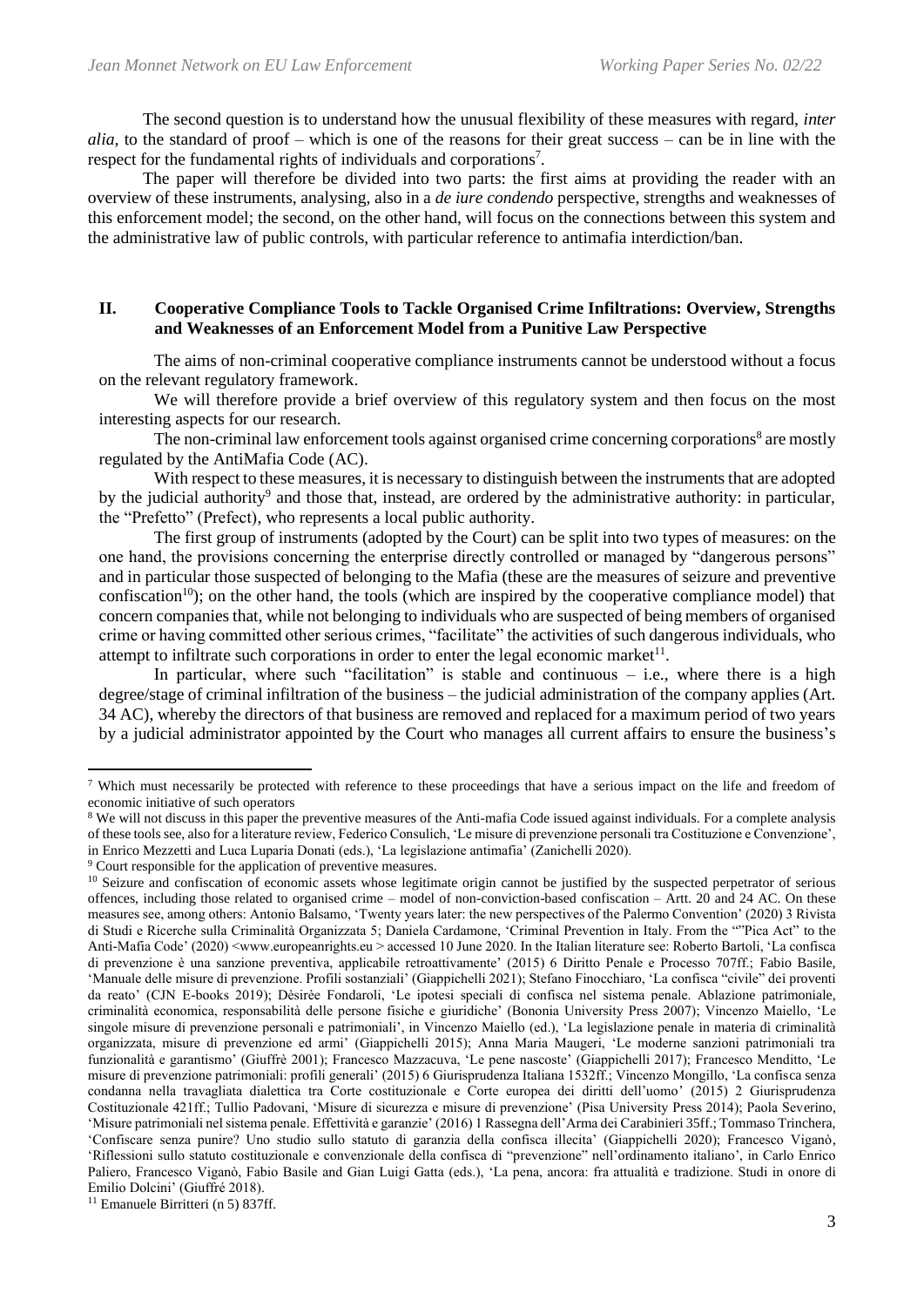The second question is to understand how the unusual flexibility of these measures with regard, *inter alia*, to the standard of proof – which is one of the reasons for their great success – can be in line with the respect for the fundamental rights of individuals and corporations<sup>7</sup>.

The paper will therefore be divided into two parts: the first aims at providing the reader with an overview of these instruments, analysing, also in a *de iure condendo* perspective, strengths and weaknesses of this enforcement model; the second, on the other hand, will focus on the connections between this system and the administrative law of public controls, with particular reference to antimafia interdiction/ban.

# **II. Cooperative Compliance Tools to Tackle Organised Crime Infiltrations: Overview, Strengths and Weaknesses of an Enforcement Model from a Punitive Law Perspective**

The aims of non-criminal cooperative compliance instruments cannot be understood without a focus on the relevant regulatory framework.

We will therefore provide a brief overview of this regulatory system and then focus on the most interesting aspects for our research.

The non-criminal law enforcement tools against organised crime concerning corporations<sup>8</sup> are mostly regulated by the AntiMafia Code (AC).

With respect to these measures, it is necessary to distinguish between the instruments that are adopted by the judicial authority<sup>9</sup> and those that, instead, are ordered by the administrative authority: in particular, the "Prefetto" (Prefect), who represents a local public authority.

The first group of instruments (adopted by the Court) can be split into two types of measures: on the one hand, the provisions concerning the enterprise directly controlled or managed by "dangerous persons" and in particular those suspected of belonging to the Mafia (these are the measures of seizure and preventive confiscation<sup>10</sup>); on the other hand, the tools (which are inspired by the cooperative compliance model) that concern companies that, while not belonging to individuals who are suspected of being members of organised crime or having committed other serious crimes, "facilitate" the activities of such dangerous individuals, who attempt to infiltrate such corporations in order to enter the legal economic market<sup>11</sup>.

In particular, where such "facilitation" is stable and continuous  $-$  i.e., where there is a high degree/stage of criminal infiltration of the business – the judicial administration of the company applies (Art. 34 AC), whereby the directors of that business are removed and replaced for a maximum period of two years by a judicial administrator appointed by the Court who manages all current affairs to ensure the business's

 $11$  Emanuele Birritteri (n 5) 837ff.

<sup>7</sup> Which must necessarily be protected with reference to these proceedings that have a serious impact on the life and freedom of economic initiative of such operators

<sup>&</sup>lt;sup>8</sup> We will not discuss in this paper the preventive measures of the Anti-mafia Code issued against individuals. For a complete analysis of these tools see, also for a literature review, Federico Consulich, 'Le misure di prevenzione personali tra Costituzione e Convenzione', in Enrico Mezzetti and Luca Luparia Donati (eds.), 'La legislazione antimafia' (Zanichelli 2020).

<sup>9</sup> Court responsible for the application of preventive measures.

<sup>&</sup>lt;sup>10</sup> Seizure and confiscation of economic assets whose legitimate origin cannot be justified by the suspected perpetrator of serious offences, including those related to organised crime – model of non-conviction-based confiscation – Artt. 20 and 24 AC. On these measures see, among others: Antonio Balsamo, 'Twenty years later: the new perspectives of the Palermo Convention' (2020) 3 Rivista di Studi e Ricerche sulla Criminalità Organizzata 5; Daniela Cardamone, 'Criminal Prevention in Italy. From the ""Pica Act" to the Anti-Mafia Code' (2020) <www.europeanrights.eu > accessed 10 June 2020. In the Italian literature see: Roberto Bartoli, 'La confisca di prevenzione è una sanzione preventiva, applicabile retroattivamente' (2015) 6 Diritto Penale e Processo 707ff.; Fabio Basile, 'Manuale delle misure di prevenzione. Profili sostanziali' (Giappichelli 2021); Stefano Finocchiaro, 'La confisca "civile" dei proventi da reato' (CJN E-books 2019); Dèsirèe Fondaroli, 'Le ipotesi speciali di confisca nel sistema penale. Ablazione patrimoniale, criminalità economica, responsabilità delle persone fisiche e giuridiche' (Bononia University Press 2007); Vincenzo Maiello, 'Le singole misure di prevenzione personali e patrimoniali', in Vincenzo Maiello (ed.), 'La legislazione penale in materia di criminalità organizzata, misure di prevenzione ed armi' (Giappichelli 2015); Anna Maria Maugeri, 'Le moderne sanzioni patrimoniali tra funzionalità e garantismo' (Giuffrè 2001); Francesco Mazzacuva, 'Le pene nascoste' (Giappichelli 2017); Francesco Menditto, 'Le misure di prevenzione patrimoniali: profili generali' (2015) 6 Giurisprudenza Italiana 1532ff.; Vincenzo Mongillo, 'La confisca senza condanna nella travagliata dialettica tra Corte costituzionale e Corte europea dei diritti dell'uomo' (2015) 2 Giurisprudenza Costituzionale 421ff.; Tullio Padovani, 'Misure di sicurezza e misure di prevenzione' (Pisa University Press 2014); Paola Severino, 'Misure patrimoniali nel sistema penale. Effettività e garanzie' (2016) 1 Rassegna dell'Arma dei Carabinieri 35ff.; Tommaso Trinchera, 'Confiscare senza punire? Uno studio sullo statuto di garanzia della confisca illecita' (Giappichelli 2020); Francesco Viganò, 'Riflessioni sullo statuto costituzionale e convenzionale della confisca di "prevenzione" nell'ordinamento italiano', in Carlo Enrico Paliero, Francesco Viganò, Fabio Basile and Gian Luigi Gatta (eds.), 'La pena, ancora: fra attualità e tradizione. Studi in onore di Emilio Dolcini' (Giuffré 2018).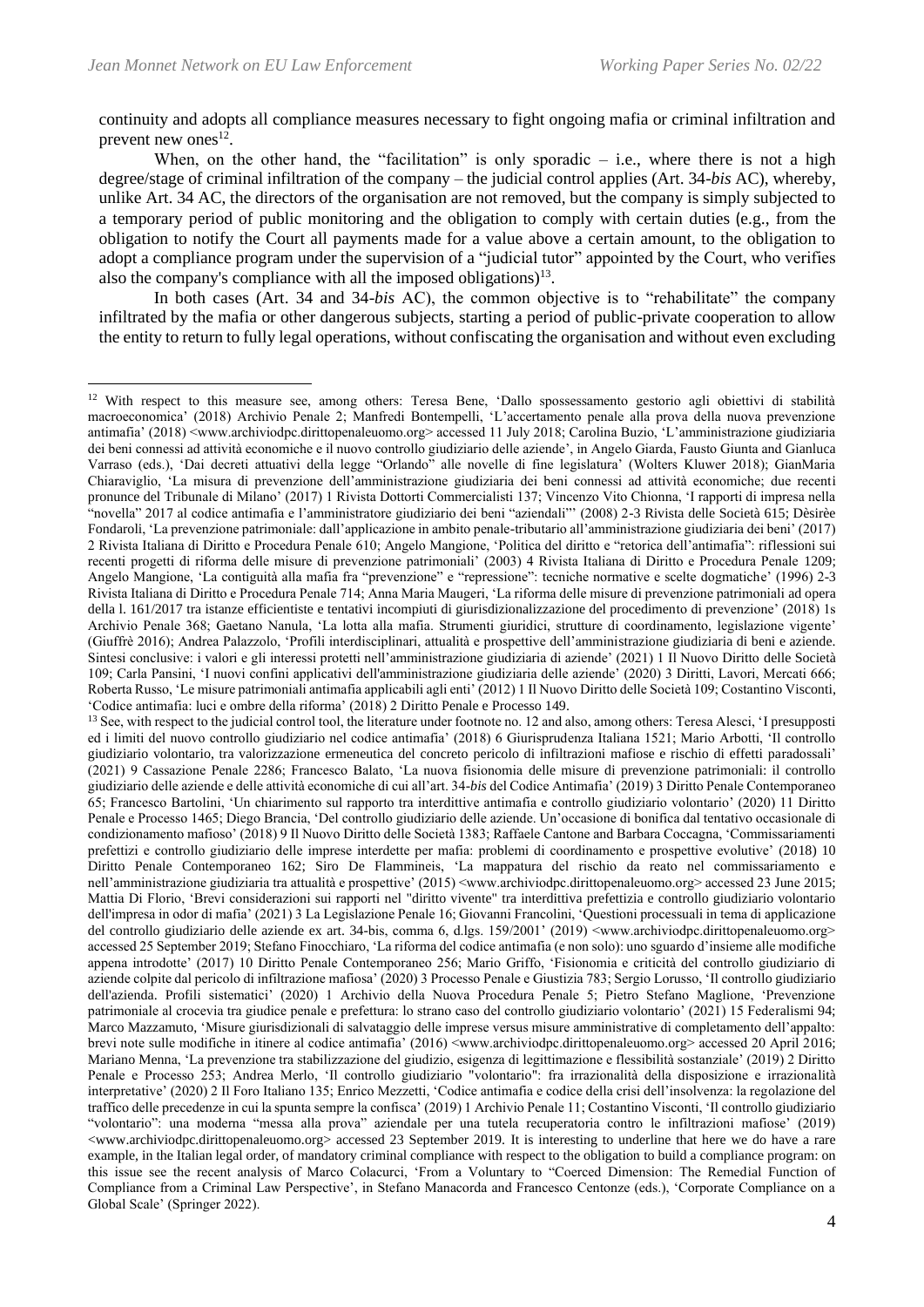continuity and adopts all compliance measures necessary to fight ongoing mafia or criminal infiltration and prevent new ones $^{12}$ .

When, on the other hand, the "facilitation" is only sporadic  $-$  i.e., where there is not a high degree/stage of criminal infiltration of the company – the judicial control applies (Art. 34-*bis* AC), whereby, unlike Art. 34 AC, the directors of the organisation are not removed, but the company is simply subjected to a temporary period of public monitoring and the obligation to comply with certain duties (e.g., from the obligation to notify the Court all payments made for a value above a certain amount, to the obligation to adopt a compliance program under the supervision of a "judicial tutor" appointed by the Court, who verifies also the company's compliance with all the imposed obligations)<sup>13</sup>.

In both cases (Art. 34 and 34-*bis* AC), the common objective is to "rehabilitate" the company infiltrated by the mafia or other dangerous subjects, starting a period of public-private cooperation to allow the entity to return to fully legal operations, without confiscating the organisation and without even excluding

<sup>&</sup>lt;sup>12</sup> With respect to this measure see, among others: Teresa Bene, 'Dallo spossessamento gestorio agli obiettivi di stabilità macroeconomica' (2018) Archivio Penale 2; Manfredi Bontempelli, 'L'accertamento penale alla prova della nuova prevenzione antimafia' (2018) <www.archiviodpc.dirittopenaleuomo.org> accessed 11 July 2018; Carolina Buzio, 'L'amministrazione giudiziaria dei beni connessi ad attività economiche e il nuovo controllo giudiziario delle aziende', in Angelo Giarda, Fausto Giunta and Gianluca Varraso (eds.), 'Dai decreti attuativi della legge "Orlando" alle novelle di fine legislatura' (Wolters Kluwer 2018); GianMaria Chiaraviglio, 'La misura di prevenzione dell'amministrazione giudiziaria dei beni connessi ad attività economiche; due recenti pronunce del Tribunale di Milano' (2017) 1 Rivista Dottorti Commercialisti 137; Vincenzo Vito Chionna, 'I rapporti di impresa nella "novella" 2017 al codice antimafia e l'amministratore giudiziario dei beni "aziendali"' (2008) 2-3 Rivista delle Società 615; Dèsirèe Fondaroli, 'La prevenzione patrimoniale: dall'applicazione in ambito penale-tributario all'amministrazione giudiziaria dei beni' (2017) 2 Rivista Italiana di Diritto e Procedura Penale 610; Angelo Mangione, 'Politica del diritto e "retorica dell'antimafia": riflessioni sui recenti progetti di riforma delle misure di prevenzione patrimoniali' (2003) 4 Rivista Italiana di Diritto e Procedura Penale 1209; Angelo Mangione, 'La contiguità alla mafia fra "prevenzione" e "repressione": tecniche normative e scelte dogmatiche' (1996) 2-3 Rivista Italiana di Diritto e Procedura Penale 714; Anna Maria Maugeri, 'La riforma delle misure di prevenzione patrimoniali ad opera della l. 161/2017 tra istanze efficientiste e tentativi incompiuti di giurisdizionalizzazione del procedimento di prevenzione' (2018) 1s Archivio Penale 368; Gaetano Nanula, 'La lotta alla mafia. Strumenti giuridici, strutture di coordinamento, legislazione vigente' (Giuffrè 2016); Andrea Palazzolo, 'Profili interdisciplinari, attualità e prospettive dell'amministrazione giudiziaria di beni e aziende. Sintesi conclusive: i valori e gli interessi protetti nell'amministrazione giudiziaria di aziende' (2021) 1 Il Nuovo Diritto delle Società 109; Carla Pansini, 'I nuovi confini applicativi dell'amministrazione giudiziaria delle aziende' (2020) 3 Diritti, Lavori, Mercati 666; Roberta Russo, 'Le misure patrimoniali antimafia applicabili agli enti' (2012) 1 Il Nuovo Diritto delle Società 109; Costantino Visconti, 'Codice antimafia: luci e ombre della riforma' (2018) 2 Diritto Penale e Processo 149.

<sup>&</sup>lt;sup>13</sup> See, with respect to the judicial control tool, the literature under footnote no. 12 and also, among others: Teresa Alesci, 'I presupposti ed i limiti del nuovo controllo giudiziario nel codice antimafia' (2018) 6 Giurisprudenza Italiana 1521; Mario Arbotti, 'Il controllo giudiziario volontario, tra valorizzazione ermeneutica del concreto pericolo di infiltrazioni mafiose e rischio di effetti paradossali' (2021) 9 Cassazione Penale 2286; Francesco Balato, 'La nuova fisionomia delle misure di prevenzione patrimoniali: il controllo giudiziario delle aziende e delle attività economiche di cui all'art. 34-*bis* del Codice Antimafia' (2019) 3 Diritto Penale Contemporaneo 65; Francesco Bartolini, 'Un chiarimento sul rapporto tra interdittive antimafia e controllo giudiziario volontario' (2020) 11 Diritto Penale e Processo 1465; Diego Brancia, 'Del controllo giudiziario delle aziende. Un'occasione di bonifica dal tentativo occasionale di condizionamento mafioso' (2018) 9 Il Nuovo Diritto delle Società 1383; Raffaele Cantone and Barbara Coccagna, 'Commissariamenti prefettizi e controllo giudiziario delle imprese interdette per mafia: problemi di coordinamento e prospettive evolutive' (2018) 10 Diritto Penale Contemporaneo 162; Siro De Flammineis, 'La mappatura del rischio da reato nel commissariamento e nell'amministrazione giudiziaria tra attualità e prospettive' (2015) <www.archiviodpc.dirittopenaleuomo.org> accessed 23 June 2015; Mattia Di Florio, 'Brevi considerazioni sui rapporti nel "diritto vivente" tra interdittiva prefettizia e controllo giudiziario volontario dell'impresa in odor di mafia' (2021) 3 La Legislazione Penale 16; Giovanni Francolini, 'Questioni processuali in tema di applicazione del controllo giudiziario delle aziende ex art. 34-bis, comma 6, d.lgs. 159/2001' (2019) <www.archiviodpc.dirittopenaleuomo.org> accessed 25 September 2019; Stefano Finocchiaro, 'La riforma del codice antimafia (e non solo): uno sguardo d'insieme alle modifiche appena introdotte' (2017) 10 Diritto Penale Contemporaneo 256; Mario Griffo, 'Fisionomia e criticità del controllo giudiziario di aziende colpite dal pericolo di infiltrazione mafiosa' (2020) 3 Processo Penale e Giustizia 783; Sergio Lorusso, 'Il controllo giudiziario dell'azienda. Profili sistematici' (2020) 1 Archivio della Nuova Procedura Penale 5; Pietro Stefano Maglione, 'Prevenzione patrimoniale al crocevia tra giudice penale e prefettura: lo strano caso del controllo giudiziario volontario' (2021) 15 Federalismi 94; Marco Mazzamuto, 'Misure giurisdizionali di salvataggio delle imprese versus misure amministrative di completamento dell'appalto: brevi note sulle modifiche in itinere al codice antimafia' (2016)  $\leq$ www.archiviodpc.dirittopenaleuomo.org> accessed 20 April 2016; Mariano Menna, 'La prevenzione tra stabilizzazione del giudizio, esigenza di legittimazione e flessibilità sostanziale' (2019) 2 Diritto Penale e Processo 253; Andrea Merlo, 'Il controllo giudiziario "volontario": fra irrazionalità della disposizione e irrazionalità interpretative' (2020) 2 Il Foro Italiano 135; Enrico Mezzetti, 'Codice antimafia e codice della crisi dell'insolvenza: la regolazione del traffico delle precedenze in cui la spunta sempre la confisca' (2019) 1 Archivio Penale 11; Costantino Visconti, 'Il controllo giudiziario "volontario": una moderna "messa alla prova" aziendale per una tutela recuperatoria contro le infiltrazioni mafiose' (2019) <www.archiviodpc.dirittopenaleuomo.org> accessed 23 September 2019. It is interesting to underline that here we do have a rare example, in the Italian legal order, of mandatory criminal compliance with respect to the obligation to build a compliance program: on this issue see the recent analysis of Marco Colacurci, 'From a Voluntary to "Coerced Dimension: The Remedial Function of Compliance from a Criminal Law Perspective', in Stefano Manacorda and Francesco Centonze (eds.), 'Corporate Compliance on a Global Scale' (Springer 2022).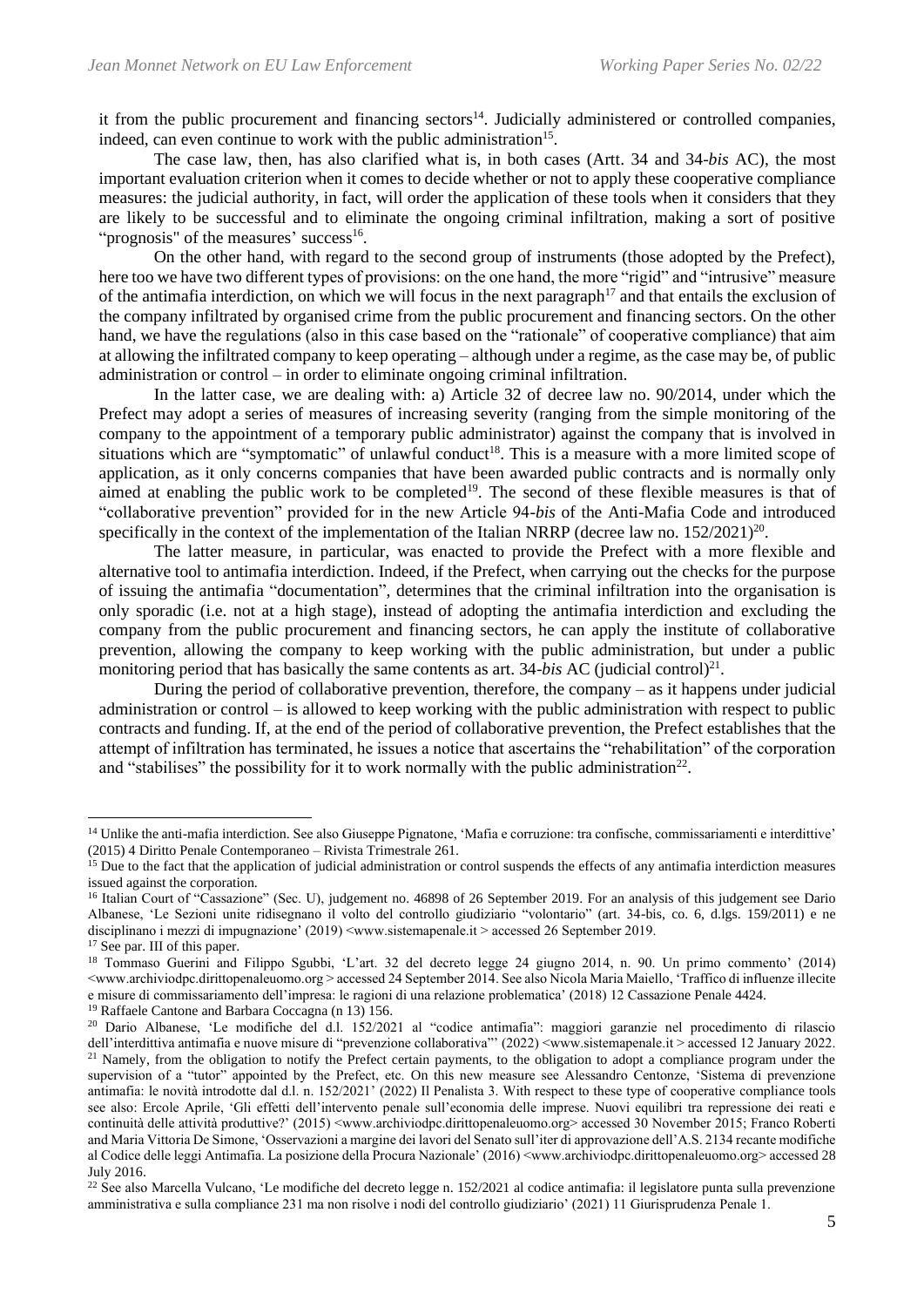it from the public procurement and financing sectors<sup>14</sup>. Judicially administered or controlled companies, indeed, can even continue to work with the public administration<sup>15</sup>.

The case law, then, has also clarified what is, in both cases (Artt. 34 and 34-*bis* AC), the most important evaluation criterion when it comes to decide whether or not to apply these cooperative compliance measures: the judicial authority, in fact, will order the application of these tools when it considers that they are likely to be successful and to eliminate the ongoing criminal infiltration, making a sort of positive "prognosis" of the measures' success<sup>16</sup>.

On the other hand, with regard to the second group of instruments (those adopted by the Prefect), here too we have two different types of provisions: on the one hand, the more "rigid" and "intrusive" measure of the antimafia interdiction, on which we will focus in the next paragraph<sup>17</sup> and that entails the exclusion of the company infiltrated by organised crime from the public procurement and financing sectors. On the other hand, we have the regulations (also in this case based on the "rationale" of cooperative compliance) that aim at allowing the infiltrated company to keep operating – although under a regime, as the case may be, of public administration or control – in order to eliminate ongoing criminal infiltration.

In the latter case, we are dealing with: a) Article 32 of decree law no. 90/2014, under which the Prefect may adopt a series of measures of increasing severity (ranging from the simple monitoring of the company to the appointment of a temporary public administrator) against the company that is involved in situations which are "symptomatic" of unlawful conduct<sup>18</sup>. This is a measure with a more limited scope of application, as it only concerns companies that have been awarded public contracts and is normally only aimed at enabling the public work to be completed<sup>19</sup>. The second of these flexible measures is that of "collaborative prevention" provided for in the new Article 94-*bis* of the Anti-Mafia Code and introduced specifically in the context of the implementation of the Italian NRRP (decree law no.  $152/2021$ )<sup>20</sup>.

The latter measure, in particular, was enacted to provide the Prefect with a more flexible and alternative tool to antimafia interdiction. Indeed, if the Prefect, when carrying out the checks for the purpose of issuing the antimafia "documentation", determines that the criminal infiltration into the organisation is only sporadic (i.e. not at a high stage), instead of adopting the antimafia interdiction and excluding the company from the public procurement and financing sectors, he can apply the institute of collaborative prevention, allowing the company to keep working with the public administration, but under a public monitoring period that has basically the same contents as art. 34-*bis* AC (judicial control)<sup>21</sup>.

During the period of collaborative prevention, therefore, the company  $-$  as it happens under judicial administration or control – is allowed to keep working with the public administration with respect to public contracts and funding. If, at the end of the period of collaborative prevention, the Prefect establishes that the attempt of infiltration has terminated, he issues a notice that ascertains the "rehabilitation" of the corporation and "stabilises" the possibility for it to work normally with the public administration<sup>22</sup>.

<sup>&</sup>lt;sup>14</sup> Unlike the anti-mafia interdiction. See also Giuseppe Pignatone, 'Mafia e corruzione: tra confische, commissariamenti e interdittive' (2015) 4 Diritto Penale Contemporaneo – Rivista Trimestrale 261.

<sup>&</sup>lt;sup>15</sup> Due to the fact that the application of judicial administration or control suspends the effects of any antimafia interdiction measures issued against the corporation.

<sup>&</sup>lt;sup>16</sup> Italian Court of "Cassazione" (Sec. U), judgement no. 46898 of 26 September 2019. For an analysis of this judgement see Dario Albanese, 'Le Sezioni unite ridisegnano il volto del controllo giudiziario "volontario" (art. 34-bis, co. 6, d.lgs. 159/2011) e ne disciplinano i mezzi di impugnazione' (2019) <www.sistemapenale.it > accessed 26 September 2019.

<sup>&</sup>lt;sup>17</sup> See par. III of this paper.

<sup>18</sup> Tommaso Guerini and Filippo Sgubbi, 'L'art. 32 del decreto legge 24 giugno 2014, n. 90. Un primo commento' (2014) <www.archiviodpc.dirittopenaleuomo.org > accessed 24 September 2014. See also Nicola Maria Maiello, 'Traffico di influenze illecite e misure di commissariamento dell'impresa: le ragioni di una relazione problematica' (2018) 12 Cassazione Penale 4424. <sup>19</sup> Raffaele Cantone and Barbara Coccagna (n 13) 156.

<sup>20</sup> Dario Albanese, 'Le modifiche del d.l. 152/2021 al "codice antimafia": maggiori garanzie nel procedimento di rilascio dell'interdittiva antimafia e nuove misure di "prevenzione collaborativa"' (2022) <www.sistemapenale.it > accessed 12 January 2022. <sup>21</sup> Namely, from the obligation to notify the Prefect certain payments, to the obligation to adopt a compliance program under the supervision of a "tutor" appointed by the Prefect, etc. On this new measure see Alessandro Centonze, 'Sistema di prevenzione antimafia: le novità introdotte dal d.l. n. 152/2021' (2022) Il Penalista 3. With respect to these type of cooperative compliance tools see also: Ercole Aprile, 'Gli effetti dell'intervento penale sull'economia delle imprese. Nuovi equilibri tra repressione dei reati e continuità delle attività produttive?' (2015) <www.archiviodpc.dirittopenaleuomo.org> accessed 30 November 2015; Franco Roberti and Maria Vittoria De Simone, 'Osservazioni a margine dei lavori del Senato sull'iter di approvazione dell'A.S. 2134 recante modifiche al Codice delle leggi Antimafia. La posizione della Procura Nazionale' (2016) <www.archiviodpc.dirittopenaleuomo.org> accessed 28 July 2016.

<sup>&</sup>lt;sup>22</sup> See also Marcella Vulcano, 'Le modifiche del decreto legge n. 152/2021 al codice antimafia: il legislatore punta sulla prevenzione amministrativa e sulla compliance 231 ma non risolve i nodi del controllo giudiziario' (2021) 11 Giurisprudenza Penale 1.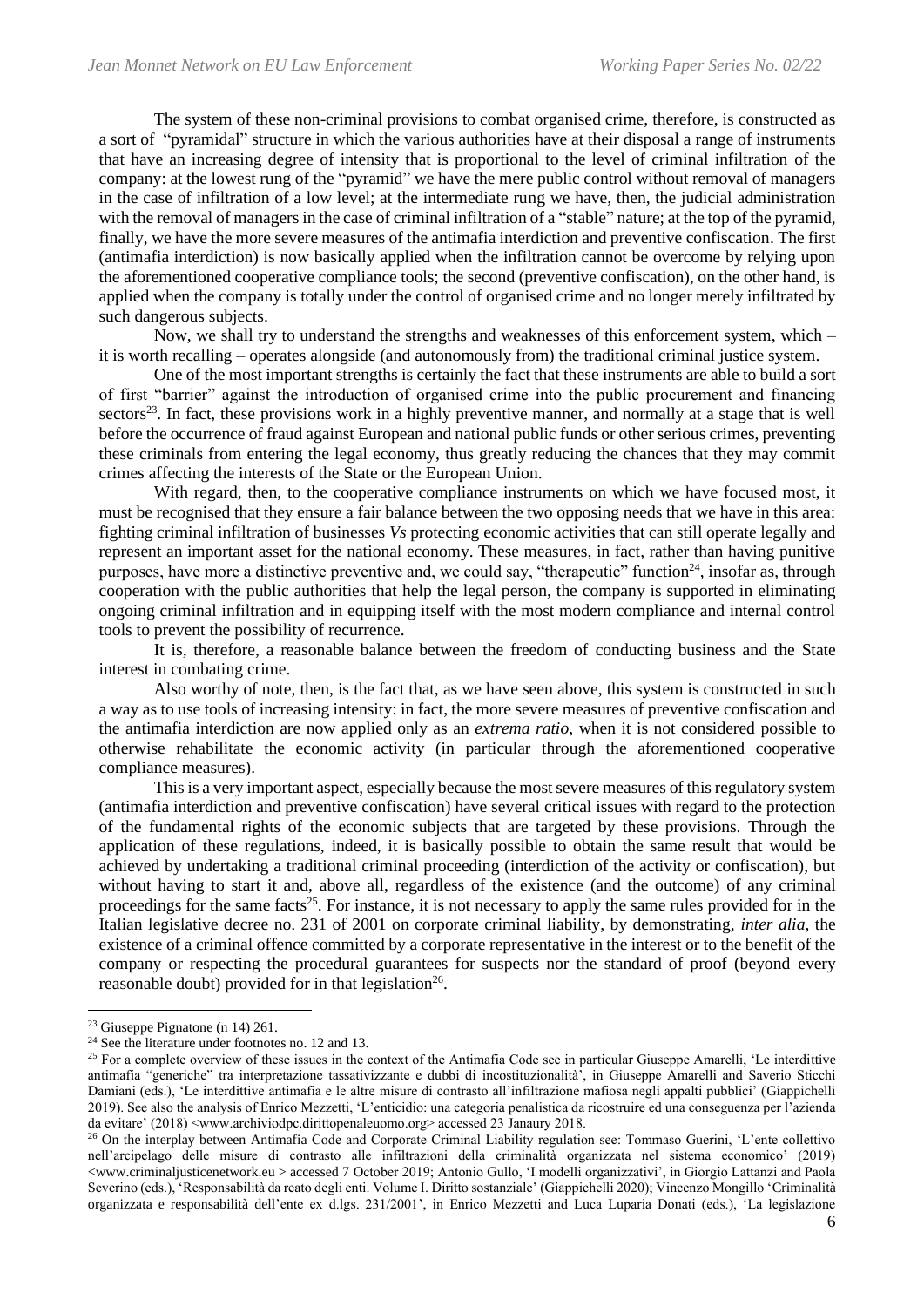The system of these non-criminal provisions to combat organised crime, therefore, is constructed as a sort of "pyramidal" structure in which the various authorities have at their disposal a range of instruments that have an increasing degree of intensity that is proportional to the level of criminal infiltration of the company: at the lowest rung of the "pyramid" we have the mere public control without removal of managers in the case of infiltration of a low level; at the intermediate rung we have, then, the judicial administration with the removal of managers in the case of criminal infiltration of a "stable" nature; at the top of the pyramid, finally, we have the more severe measures of the antimafia interdiction and preventive confiscation. The first (antimafia interdiction) is now basically applied when the infiltration cannot be overcome by relying upon the aforementioned cooperative compliance tools; the second (preventive confiscation), on the other hand, is applied when the company is totally under the control of organised crime and no longer merely infiltrated by such dangerous subjects.

Now, we shall try to understand the strengths and weaknesses of this enforcement system, which  $$ it is worth recalling – operates alongside (and autonomously from) the traditional criminal justice system.

One of the most important strengths is certainly the fact that these instruments are able to build a sort of first "barrier" against the introduction of organised crime into the public procurement and financing  $\text{sectors}^{23}$ . In fact, these provisions work in a highly preventive manner, and normally at a stage that is well before the occurrence of fraud against European and national public funds or other serious crimes, preventing these criminals from entering the legal economy, thus greatly reducing the chances that they may commit crimes affecting the interests of the State or the European Union.

With regard, then, to the cooperative compliance instruments on which we have focused most, it must be recognised that they ensure a fair balance between the two opposing needs that we have in this area: fighting criminal infiltration of businesses *Vs* protecting economic activities that can still operate legally and represent an important asset for the national economy. These measures, in fact, rather than having punitive purposes, have more a distinctive preventive and, we could say, "therapeutic" function<sup>24</sup>, insofar as, through cooperation with the public authorities that help the legal person, the company is supported in eliminating ongoing criminal infiltration and in equipping itself with the most modern compliance and internal control tools to prevent the possibility of recurrence.

It is, therefore, a reasonable balance between the freedom of conducting business and the State interest in combating crime.

Also worthy of note, then, is the fact that, as we have seen above, this system is constructed in such a way as to use tools of increasing intensity: in fact, the more severe measures of preventive confiscation and the antimafia interdiction are now applied only as an *extrema ratio*, when it is not considered possible to otherwise rehabilitate the economic activity (in particular through the aforementioned cooperative compliance measures).

This is a very important aspect, especially because the most severe measures of this regulatory system (antimafia interdiction and preventive confiscation) have several critical issues with regard to the protection of the fundamental rights of the economic subjects that are targeted by these provisions. Through the application of these regulations, indeed, it is basically possible to obtain the same result that would be achieved by undertaking a traditional criminal proceeding (interdiction of the activity or confiscation), but without having to start it and, above all, regardless of the existence (and the outcome) of any criminal proceedings for the same facts<sup>25</sup>. For instance, it is not necessary to apply the same rules provided for in the Italian legislative decree no. 231 of 2001 on corporate criminal liability, by demonstrating, *inter alia*, the existence of a criminal offence committed by a corporate representative in the interest or to the benefit of the company or respecting the procedural guarantees for suspects nor the standard of proof (beyond every reasonable doubt) provided for in that legislation<sup>26</sup>.

<sup>23</sup> Giuseppe Pignatone (n 14) 261.

 $24$  See the literature under footnotes no. 12 and 13.

<sup>&</sup>lt;sup>25</sup> For a complete overview of these issues in the context of the Antimafia Code see in particular Giuseppe Amarelli, 'Le interdittive antimafia "generiche" tra interpretazione tassativizzante e dubbi di incostituzionalità', in Giuseppe Amarelli and Saverio Sticchi Damiani (eds.), 'Le interdittive antimafia e le altre misure di contrasto all'infiltrazione mafiosa negli appalti pubblici' (Giappichelli 2019). See also the analysis of Enrico Mezzetti, 'L'enticidio: una categoria penalistica da ricostruire ed una conseguenza per l'azienda da evitare' (2018) <www.archiviodpc.dirittopenaleuomo.org> accessed 23 Janaury 2018.

<sup>26</sup> On the interplay between Antimafia Code and Corporate Criminal Liability regulation see: Tommaso Guerini, 'L'ente collettivo nell'arcipelago delle misure di contrasto alle infiltrazioni della criminalità organizzata nel sistema economico' (2019) <www.criminaljusticenetwork.eu > accessed 7 October 2019; Antonio Gullo, 'I modelli organizzativi', in Giorgio Lattanzi and Paola Severino (eds.), 'Responsabilità da reato degli enti. Volume I. Diritto sostanziale' (Giappichelli 2020); Vincenzo Mongillo 'Criminalità organizzata e responsabilità dell'ente ex d.lgs. 231/2001', in Enrico Mezzetti and Luca Luparia Donati (eds.), 'La legislazione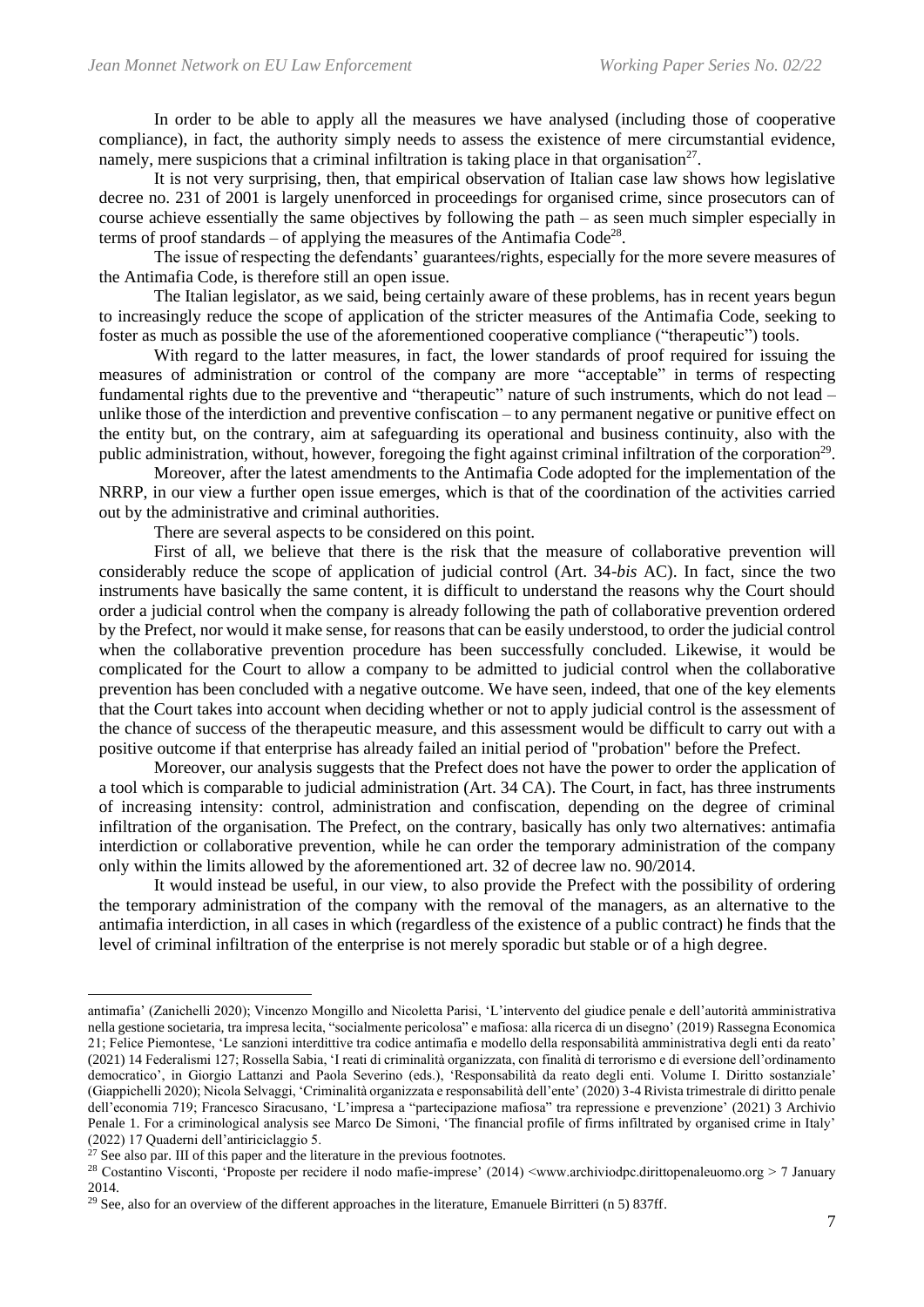In order to be able to apply all the measures we have analysed (including those of cooperative compliance), in fact, the authority simply needs to assess the existence of mere circumstantial evidence, namely, mere suspicions that a criminal infiltration is taking place in that organisation<sup>27</sup>.

It is not very surprising, then, that empirical observation of Italian case law shows how legislative decree no. 231 of 2001 is largely unenforced in proceedings for organised crime, since prosecutors can of course achieve essentially the same objectives by following the path – as seen much simpler especially in terms of proof standards  $-$  of applying the measures of the Antimafia Code<sup>28</sup>.

The issue of respecting the defendants' guarantees/rights, especially for the more severe measures of the Antimafia Code, is therefore still an open issue.

The Italian legislator, as we said, being certainly aware of these problems, has in recent years begun to increasingly reduce the scope of application of the stricter measures of the Antimafia Code, seeking to foster as much as possible the use of the aforementioned cooperative compliance ("therapeutic") tools.

With regard to the latter measures, in fact, the lower standards of proof required for issuing the measures of administration or control of the company are more "acceptable" in terms of respecting fundamental rights due to the preventive and "therapeutic" nature of such instruments, which do not lead – unlike those of the interdiction and preventive confiscation – to any permanent negative or punitive effect on the entity but, on the contrary, aim at safeguarding its operational and business continuity, also with the public administration, without, however, foregoing the fight against criminal infiltration of the corporation<sup>29</sup>.

Moreover, after the latest amendments to the Antimafia Code adopted for the implementation of the NRRP, in our view a further open issue emerges, which is that of the coordination of the activities carried out by the administrative and criminal authorities.

There are several aspects to be considered on this point.

First of all, we believe that there is the risk that the measure of collaborative prevention will considerably reduce the scope of application of judicial control (Art. 34-*bis* AC). In fact, since the two instruments have basically the same content, it is difficult to understand the reasons why the Court should order a judicial control when the company is already following the path of collaborative prevention ordered by the Prefect, nor would it make sense, for reasons that can be easily understood, to order the judicial control when the collaborative prevention procedure has been successfully concluded. Likewise, it would be complicated for the Court to allow a company to be admitted to judicial control when the collaborative prevention has been concluded with a negative outcome. We have seen, indeed, that one of the key elements that the Court takes into account when deciding whether or not to apply judicial control is the assessment of the chance of success of the therapeutic measure, and this assessment would be difficult to carry out with a positive outcome if that enterprise has already failed an initial period of "probation" before the Prefect.

Moreover, our analysis suggests that the Prefect does not have the power to order the application of a tool which is comparable to judicial administration (Art. 34 CA). The Court, in fact, has three instruments of increasing intensity: control, administration and confiscation, depending on the degree of criminal infiltration of the organisation. The Prefect, on the contrary, basically has only two alternatives: antimafia interdiction or collaborative prevention, while he can order the temporary administration of the company only within the limits allowed by the aforementioned art. 32 of decree law no. 90/2014.

It would instead be useful, in our view, to also provide the Prefect with the possibility of ordering the temporary administration of the company with the removal of the managers, as an alternative to the antimafia interdiction, in all cases in which (regardless of the existence of a public contract) he finds that the level of criminal infiltration of the enterprise is not merely sporadic but stable or of a high degree.

antimafia' (Zanichelli 2020); Vincenzo Mongillo and Nicoletta Parisi, 'L'intervento del giudice penale e dell'autorità amministrativa nella gestione societaria, tra impresa lecita, "socialmente pericolosa" e mafiosa: alla ricerca di un disegno' (2019) Rassegna Economica 21; Felice Piemontese, 'Le sanzioni interdittive tra codice antimafia e modello della responsabilità amministrativa degli enti da reato' (2021) 14 Federalismi 127; Rossella Sabia, 'I reati di criminalità organizzata, con finalità di terrorismo e di eversione dell'ordinamento democratico', in Giorgio Lattanzi and Paola Severino (eds.), 'Responsabilità da reato degli enti. Volume I. Diritto sostanziale' (Giappichelli 2020); Nicola Selvaggi, 'Criminalità organizzata e responsabilità dell'ente' (2020) 3-4 Rivista trimestrale di diritto penale dell'economia 719; Francesco Siracusano, 'L'impresa a "partecipazione mafiosa" tra repressione e prevenzione' (2021) 3 Archivio Penale 1. For a criminological analysis see Marco De Simoni, 'The financial profile of firms infiltrated by organised crime in Italy' (2022) 17 Quaderni dell'antiriciclaggio 5.

 $27$  See also par. III of this paper and the literature in the previous footnotes.

<sup>28</sup> Costantino Visconti, 'Proposte per recidere il nodo mafie-imprese' (2014) <www.archiviodpc.dirittopenaleuomo.org > 7 January 2014.

<sup>&</sup>lt;sup>29</sup> See, also for an overview of the different approaches in the literature, Emanuele Birritteri (n 5) 837ff.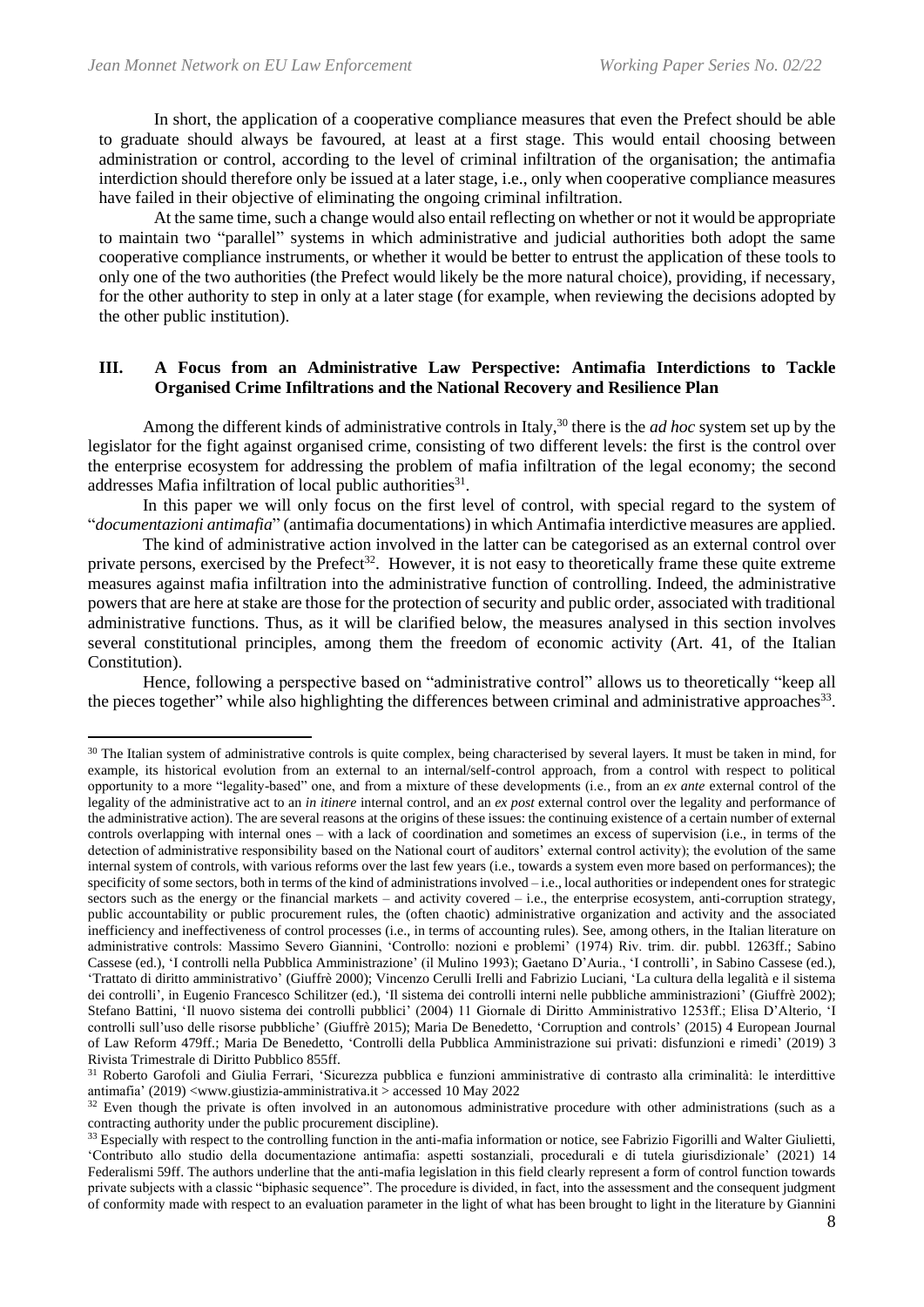In short, the application of a cooperative compliance measures that even the Prefect should be able to graduate should always be favoured, at least at a first stage. This would entail choosing between administration or control, according to the level of criminal infiltration of the organisation; the antimafia interdiction should therefore only be issued at a later stage, i.e., only when cooperative compliance measures have failed in their objective of eliminating the ongoing criminal infiltration.

At the same time, such a change would also entail reflecting on whether or not it would be appropriate to maintain two "parallel" systems in which administrative and judicial authorities both adopt the same cooperative compliance instruments, or whether it would be better to entrust the application of these tools to only one of the two authorities (the Prefect would likely be the more natural choice), providing, if necessary, for the other authority to step in only at a later stage (for example, when reviewing the decisions adopted by the other public institution).

# **III. A Focus from an Administrative Law Perspective: Antimafia Interdictions to Tackle Organised Crime Infiltrations and the National Recovery and Resilience Plan**

Among the different kinds of administrative controls in Italy, <sup>30</sup> there is the *ad hoc* system set up by the legislator for the fight against organised crime, consisting of two different levels: the first is the control over the enterprise ecosystem for addressing the problem of mafia infiltration of the legal economy; the second addresses Mafia infiltration of local public authorities<sup>31</sup>.

In this paper we will only focus on the first level of control, with special regard to the system of "*documentazioni antimafia*" (antimafia documentations) in which Antimafia interdictive measures are applied.

The kind of administrative action involved in the latter can be categorised as an external control over private persons, exercised by the Prefect<sup>32</sup>. However, it is not easy to theoretically frame these quite extreme measures against mafia infiltration into the administrative function of controlling. Indeed, the administrative powers that are here at stake are those for the protection of security and public order, associated with traditional administrative functions. Thus, as it will be clarified below, the measures analysed in this section involves several constitutional principles, among them the freedom of economic activity (Art. 41, of the Italian Constitution).

Hence, following a perspective based on "administrative control" allows us to theoretically "keep all the pieces together" while also highlighting the differences between criminal and administrative approaches<sup>33</sup>.

<sup>&</sup>lt;sup>30</sup> The Italian system of administrative controls is quite complex, being characterised by several layers. It must be taken in mind, for example, its historical evolution from an external to an internal/self-control approach, from a control with respect to political opportunity to a more "legality-based" one, and from a mixture of these developments (i.e., from an *ex ante* external control of the legality of the administrative act to an *in itinere* internal control, and an *ex post* external control over the legality and performance of the administrative action). The are several reasons at the origins of these issues: the continuing existence of a certain number of external controls overlapping with internal ones – with a lack of coordination and sometimes an excess of supervision (i.e., in terms of the detection of administrative responsibility based on the National court of auditors' external control activity); the evolution of the same internal system of controls, with various reforms over the last few years (i.e., towards a system even more based on performances); the specificity of some sectors, both in terms of the kind of administrations involved – i.e., local authorities or independent ones for strategic sectors such as the energy or the financial markets – and activity covered – i.e., the enterprise ecosystem, anti-corruption strategy, public accountability or public procurement rules, the (often chaotic) administrative organization and activity and the associated inefficiency and ineffectiveness of control processes (i.e., in terms of accounting rules). See, among others, in the Italian literature on administrative controls: Massimo Severo Giannini, 'Controllo: nozioni e problemi' (1974) Riv. trim. dir. pubbl. 1263ff.; Sabino Cassese (ed.), 'I controlli nella Pubblica Amministrazione' (il Mulino 1993); Gaetano D'Auria., 'I controlli', in Sabino Cassese (ed.), 'Trattato di diritto amministrativo' (Giuffrè 2000); Vincenzo Cerulli Irelli and Fabrizio Luciani, 'La cultura della legalità e il sistema dei controlli', in Eugenio Francesco Schilitzer (ed.), 'Il sistema dei controlli interni nelle pubbliche amministrazioni' (Giuffrè 2002); Stefano Battini, 'Il nuovo sistema dei controlli pubblici' (2004) 11 Giornale di Diritto Amministrativo 1253ff.; Elisa D'Alterio, 'I controlli sull'uso delle risorse pubbliche' (Giuffrè 2015); Maria De Benedetto, 'Corruption and controls' (2015) 4 European Journal of Law Reform 479ff.; Maria De Benedetto, 'Controlli della Pubblica Amministrazione sui privati: disfunzioni e rimedi' (2019) 3 Rivista Trimestrale di Diritto Pubblico 855ff.

<sup>31</sup> Roberto Garofoli and Giulia Ferrari, 'Sicurezza pubblica e funzioni amministrative di contrasto alla criminalità: le interdittive antimafia' (2019) <www.giustizia-amministrativa.it > accessed 10 May 2022

 $32$  Even though the private is often involved in an autonomous administrative procedure with other administrations (such as a contracting authority under the public procurement discipline).

<sup>&</sup>lt;sup>33</sup> Especially with respect to the controlling function in the anti-mafia information or notice, see Fabrizio Figorilli and Walter Giulietti, 'Contributo allo studio della documentazione antimafia: aspetti sostanziali, procedurali e di tutela giurisdizionale' (2021) 14 Federalismi 59ff. The authors underline that the anti-mafia legislation in this field clearly represent a form of control function towards private subjects with a classic "biphasic sequence". The procedure is divided, in fact, into the assessment and the consequent judgment of conformity made with respect to an evaluation parameter in the light of what has been brought to light in the literature by Giannini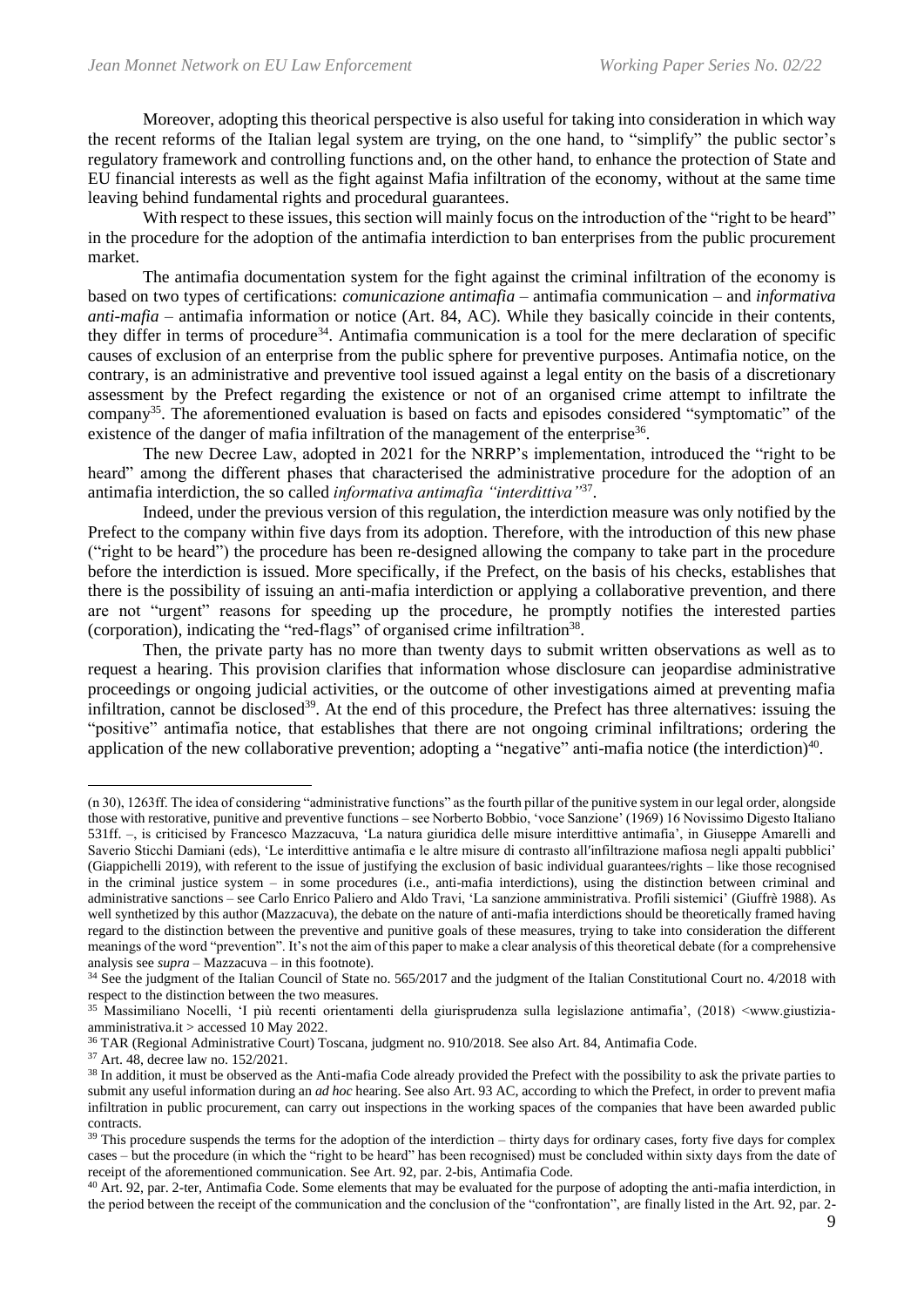Moreover, adopting this theorical perspective is also useful for taking into consideration in which way the recent reforms of the Italian legal system are trying, on the one hand, to "simplify" the public sector's regulatory framework and controlling functions and, on the other hand, to enhance the protection of State and EU financial interests as well as the fight against Mafia infiltration of the economy, without at the same time leaving behind fundamental rights and procedural guarantees.

With respect to these issues, this section will mainly focus on the introduction of the "right to be heard" in the procedure for the adoption of the antimafia interdiction to ban enterprises from the public procurement market.

The antimafia documentation system for the fight against the criminal infiltration of the economy is based on two types of certifications: *comunicazione antimafia* – antimafia communication – and *informativa anti-mafia* – antimafia information or notice (Art. 84, AC)*.* While they basically coincide in their contents, they differ in terms of procedure<sup>34</sup>. Antimafia communication is a tool for the mere declaration of specific causes of exclusion of an enterprise from the public sphere for preventive purposes. Antimafia notice, on the contrary, is an administrative and preventive tool issued against a legal entity on the basis of a discretionary assessment by the Prefect regarding the existence or not of an organised crime attempt to infiltrate the company<sup>35</sup>. The aforementioned evaluation is based on facts and episodes considered "symptomatic" of the existence of the danger of mafia infiltration of the management of the enterprise<sup>36</sup>.

The new Decree Law, adopted in 2021 for the NRRP's implementation, introduced the "right to be heard" among the different phases that characterised the administrative procedure for the adoption of an antimafia interdiction, the so called *informativa antimafia "interdittiva"*<sup>37</sup> .

Indeed, under the previous version of this regulation, the interdiction measure was only notified by the Prefect to the company within five days from its adoption. Therefore, with the introduction of this new phase ("right to be heard") the procedure has been re-designed allowing the company to take part in the procedure before the interdiction is issued. More specifically, if the Prefect, on the basis of his checks, establishes that there is the possibility of issuing an anti-mafia interdiction or applying a collaborative prevention, and there are not "urgent" reasons for speeding up the procedure, he promptly notifies the interested parties (corporation), indicating the "red-flags" of organised crime infiltration<sup>38</sup>.

Then, the private party has no more than twenty days to submit written observations as well as to request a hearing. This provision clarifies that information whose disclosure can jeopardise administrative proceedings or ongoing judicial activities, or the outcome of other investigations aimed at preventing mafia infiltration, cannot be disclosed<sup>39</sup>. At the end of this procedure, the Prefect has three alternatives: issuing the "positive" antimafia notice, that establishes that there are not ongoing criminal infiltrations; ordering the application of the new collaborative prevention; adopting a "negative" anti-mafia notice (the interdiction)<sup>40</sup>.

<sup>40</sup> Art. 92, par. 2-ter, Antimafia Code. Some elements that may be evaluated for the purpose of adopting the anti-mafia interdiction, in the period between the receipt of the communication and the conclusion of the "confrontation", are finally listed in the Art. 92, par. 2-

<sup>(</sup>n 30), 1263ff. The idea of considering "administrative functions" as the fourth pillar of the punitive system in our legal order, alongside those with restorative, punitive and preventive functions – see Norberto Bobbio, 'voce Sanzione' (1969) 16 Novissimo Digesto Italiano 531ff. –, is criticised by Francesco Mazzacuva, 'La natura giuridica delle misure interdittive antimafia', in Giuseppe Amarelli and Saverio Sticchi Damiani (eds), 'Le interdittive antimafia e le altre misure di contrasto allʹinfiltrazione mafiosa negli appalti pubblici' (Giappichelli 2019), with referent to the issue of justifying the exclusion of basic individual guarantees/rights – like those recognised in the criminal justice system – in some procedures (i.e., anti-mafia interdictions), using the distinction between criminal and administrative sanctions – see Carlo Enrico Paliero and Aldo Travi, 'La sanzione amministrativa. Profili sistemici' (Giuffrè 1988). As well synthetized by this author (Mazzacuva), the debate on the nature of anti-mafia interdictions should be theoretically framed having regard to the distinction between the preventive and punitive goals of these measures, trying to take into consideration the different meanings of the word "prevention". It's not the aim of this paper to make a clear analysis of this theoretical debate (for a comprehensive analysis see *supra* – Mazzacuva – in this footnote).

<sup>&</sup>lt;sup>34</sup> See the judgment of the Italian Council of State no. 565/2017 and the judgment of the Italian Constitutional Court no. 4/2018 with respect to the distinction between the two measures.

<sup>35</sup> Massimiliano Nocelli, 'I più recenti orientamenti della giurisprudenza sulla legislazione antimafia', (2018) <www.giustiziaamministrativa.it > accessed 10 May 2022.

<sup>36</sup> TAR (Regional Administrative Court) Toscana, judgment no. 910/2018. See also Art. 84, Antimafia Code.

<sup>37</sup> Art. 48, decree law no. 152/2021.

<sup>&</sup>lt;sup>38</sup> In addition, it must be observed as the Anti-mafia Code already provided the Prefect with the possibility to ask the private parties to submit any useful information during an *ad hoc* hearing. See also Art. 93 AC, according to which the Prefect, in order to prevent mafia infiltration in public procurement, can carry out inspections in the working spaces of the companies that have been awarded public contracts.

 $39$  This procedure suspends the terms for the adoption of the interdiction – thirty days for ordinary cases, forty five days for complex cases – but the procedure (in which the "right to be heard" has been recognised) must be concluded within sixty days from the date of receipt of the aforementioned communication. See Art. 92, par. 2-bis, Antimafia Code.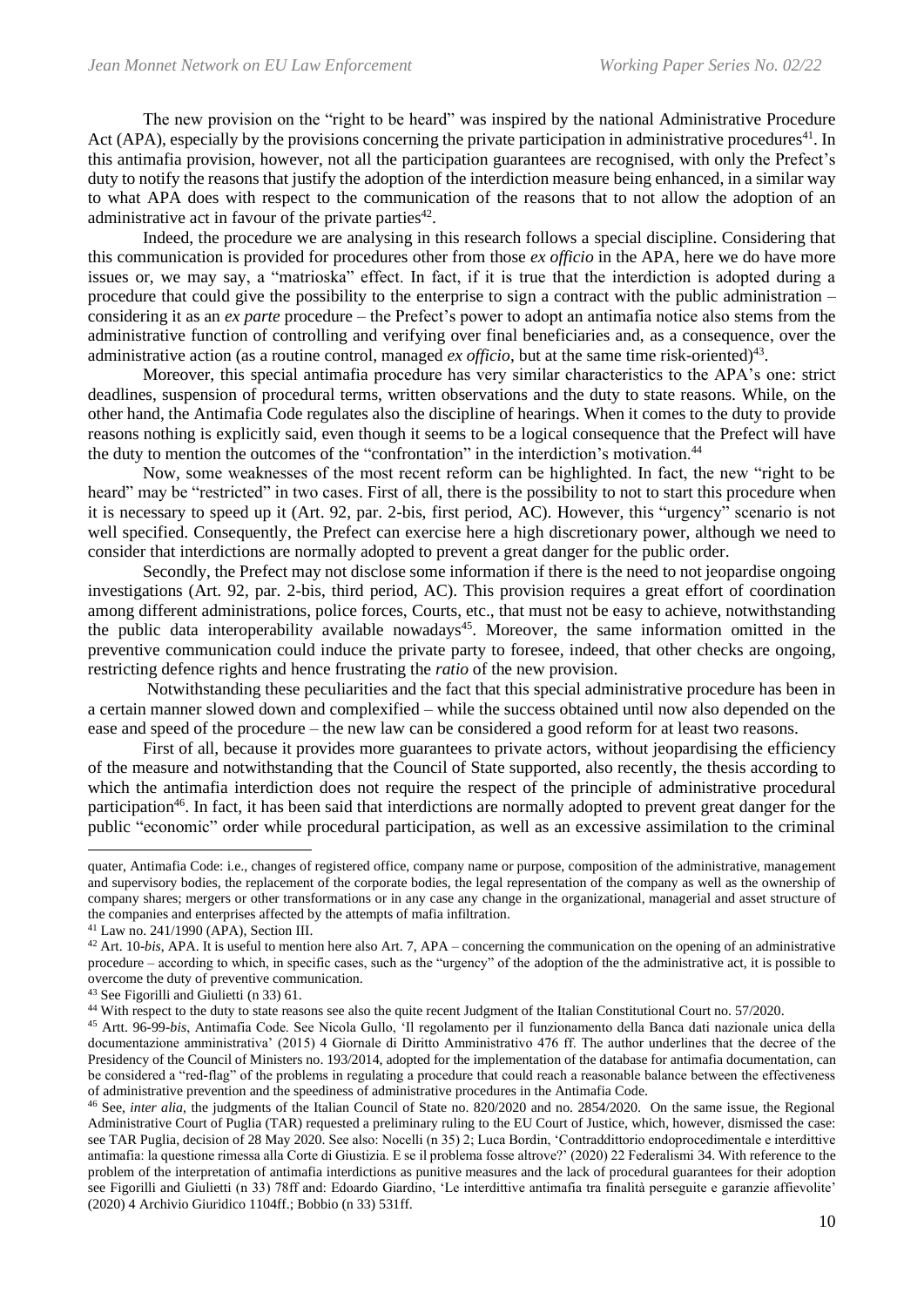The new provision on the "right to be heard" was inspired by the national Administrative Procedure Act (APA), especially by the provisions concerning the private participation in administrative procedures<sup>41</sup>. In this antimafia provision, however, not all the participation guarantees are recognised, with only the Prefect's duty to notify the reasons that justify the adoption of the interdiction measure being enhanced, in a similar way to what APA does with respect to the communication of the reasons that to not allow the adoption of an administrative act in favour of the private parties<sup>42</sup>.

Indeed, the procedure we are analysing in this research follows a special discipline. Considering that this communication is provided for procedures other from those *ex officio* in the APA, here we do have more issues or, we may say, a "matrioska" effect. In fact, if it is true that the interdiction is adopted during a procedure that could give the possibility to the enterprise to sign a contract with the public administration – considering it as an *ex parte* procedure – the Prefect's power to adopt an antimafia notice also stems from the administrative function of controlling and verifying over final beneficiaries and, as a consequence, over the administrative action (as a routine control, managed  $ex$  officio, but at the same time risk-oriented)<sup>43</sup>.

Moreover, this special antimafia procedure has very similar characteristics to the APA's one: strict deadlines, suspension of procedural terms, written observations and the duty to state reasons. While, on the other hand, the Antimafia Code regulates also the discipline of hearings. When it comes to the duty to provide reasons nothing is explicitly said, even though it seems to be a logical consequence that the Prefect will have the duty to mention the outcomes of the "confrontation" in the interdiction's motivation.<sup>44</sup>

Now, some weaknesses of the most recent reform can be highlighted. In fact, the new "right to be heard" may be "restricted" in two cases. First of all, there is the possibility to not to start this procedure when it is necessary to speed up it (Art. 92, par. 2-bis, first period, AC). However, this "urgency" scenario is not well specified. Consequently, the Prefect can exercise here a high discretionary power, although we need to consider that interdictions are normally adopted to prevent a great danger for the public order.

Secondly, the Prefect may not disclose some information if there is the need to not jeopardise ongoing investigations (Art. 92, par. 2-bis, third period, AC). This provision requires a great effort of coordination among different administrations, police forces, Courts, etc., that must not be easy to achieve, notwithstanding the public data interoperability available nowadays<sup>45</sup>. Moreover, the same information omitted in the preventive communication could induce the private party to foresee, indeed, that other checks are ongoing, restricting defence rights and hence frustrating the *ratio* of the new provision.

Notwithstanding these peculiarities and the fact that this special administrative procedure has been in a certain manner slowed down and complexified – while the success obtained until now also depended on the ease and speed of the procedure – the new law can be considered a good reform for at least two reasons.

First of all, because it provides more guarantees to private actors, without jeopardising the efficiency of the measure and notwithstanding that the Council of State supported, also recently, the thesis according to which the antimafia interdiction does not require the respect of the principle of administrative procedural participation<sup>46</sup>. In fact, it has been said that interdictions are normally adopted to prevent great danger for the public "economic" order while procedural participation, as well as an excessive assimilation to the criminal

quater, Antimafia Code: i.e., changes of registered office, company name or purpose, composition of the administrative, management and supervisory bodies, the replacement of the corporate bodies, the legal representation of the company as well as the ownership of company shares; mergers or other transformations or in any case any change in the organizational, managerial and asset structure of the companies and enterprises affected by the attempts of mafia infiltration.

<sup>41</sup> Law no. 241/1990 (APA), Section III.

<sup>42</sup> Art. 10-*bis*, APA. It is useful to mention here also Art. 7, APA – concerning the communication on the opening of an administrative procedure – according to which, in specific cases, such as the "urgency" of the adoption of the the administrative act, it is possible to overcome the duty of preventive communication.

<sup>43</sup> See Figorilli and Giulietti (n 33) 61.

<sup>44</sup> With respect to the duty to state reasons see also the quite recent Judgment of the Italian Constitutional Court no. 57/2020.

<sup>45</sup> Artt. 96-99-*bis*, Antimafia Code. See Nicola Gullo, 'Il regolamento per il funzionamento della Banca dati nazionale unica della documentazione amministrativa' (2015) 4 Giornale di Diritto Amministrativo 476 ff. The author underlines that the decree of the Presidency of the Council of Ministers no. 193/2014, adopted for the implementation of the database for antimafia documentation, can be considered a "red-flag" of the problems in regulating a procedure that could reach a reasonable balance between the effectiveness of administrative prevention and the speediness of administrative procedures in the Antimafia Code.

<sup>46</sup> See, *inter alia*, the judgments of the Italian Council of State no. 820/2020 and no. 2854/2020. On the same issue, the Regional Administrative Court of Puglia (TAR) requested a preliminary ruling to the EU Court of Justice, which, however, dismissed the case: see TAR Puglia, decision of 28 May 2020. See also: Nocelli (n 35) 2; Luca Bordin, 'Contraddittorio endoprocedimentale e interdittive antimafia: la questione rimessa alla Corte di Giustizia. E se il problema fosse altrove?' (2020) 22 Federalismi 34. With reference to the problem of the interpretation of antimafia interdictions as punitive measures and the lack of procedural guarantees for their adoption see Figorilli and Giulietti (n 33) 78ff and: Edoardo Giardino, 'Le interdittive antimafia tra finalità perseguite e garanzie affievolite' (2020) 4 Archivio Giuridico 1104ff.; Bobbio (n 33) 531ff.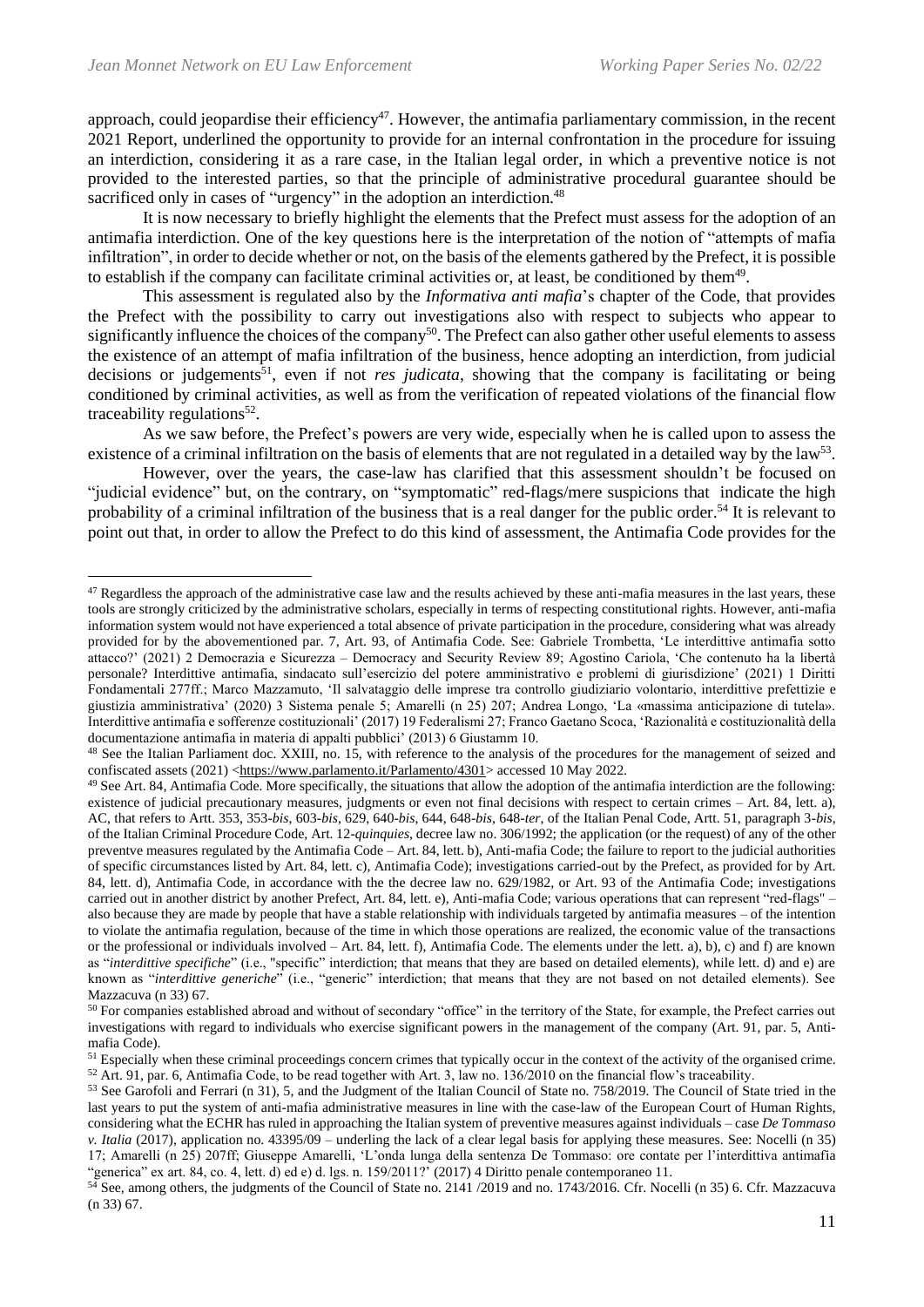approach, could jeopardise their efficiency<sup>47</sup>. However, the antimafia parliamentary commission, in the recent 2021 Report, underlined the opportunity to provide for an internal confrontation in the procedure for issuing an interdiction, considering it as a rare case, in the Italian legal order, in which a preventive notice is not provided to the interested parties, so that the principle of administrative procedural guarantee should be sacrificed only in cases of "urgency" in the adoption an interdiction.<sup>48</sup>

It is now necessary to briefly highlight the elements that the Prefect must assess for the adoption of an antimafia interdiction. One of the key questions here is the interpretation of the notion of "attempts of mafia infiltration", in order to decide whether or not, on the basis of the elements gathered by the Prefect, it is possible to establish if the company can facilitate criminal activities or, at least, be conditioned by them<sup>49</sup>.

This assessment is regulated also by the *Informativa anti mafia*'s chapter of the Code, that provides the Prefect with the possibility to carry out investigations also with respect to subjects who appear to significantly influence the choices of the company<sup>50</sup>. The Prefect can also gather other useful elements to assess the existence of an attempt of mafia infiltration of the business, hence adopting an interdiction, from judicial decisions or judgements<sup>51</sup>, even if not *res judicata*, showing that the company is facilitating or being conditioned by criminal activities, as well as from the verification of repeated violations of the financial flow traceability regulations<sup>52</sup>.

As we saw before, the Prefect's powers are very wide, especially when he is called upon to assess the existence of a criminal infiltration on the basis of elements that are not regulated in a detailed way by the law<sup>53</sup>.

However, over the years, the case-law has clarified that this assessment shouldn't be focused on "judicial evidence" but, on the contrary, on "symptomatic" red-flags/mere suspicions that indicate the high probability of a criminal infiltration of the business that is a real danger for the public order.<sup>54</sup> It is relevant to point out that, in order to allow the Prefect to do this kind of assessment, the Antimafia Code provides for the

<sup>&</sup>lt;sup>47</sup> Regardless the approach of the administrative case law and the results achieved by these anti-mafia measures in the last years, these tools are strongly criticized by the administrative scholars, especially in terms of respecting constitutional rights. However, anti-mafia information system would not have experienced a total absence of private participation in the procedure, considering what was already provided for by the abovementioned par. 7, Art. 93, of Antimafia Code. See: Gabriele Trombetta, 'Le interdittive antimafia sotto attacco?' (2021) 2 Democrazia e Sicurezza – Democracy and Security Review 89; Agostino Cariola, 'Che contenuto ha la libertà personale? Interdittive antimafia, sindacato sull'esercizio del potere amministrativo e problemi di giurisdizione' (2021) 1 Diritti Fondamentali 277ff.; Marco Mazzamuto, 'Il salvataggio delle imprese tra controllo giudiziario volontario, interdittive prefettizie e giustizia amministrativa' (2020) 3 Sistema penale 5; Amarelli (n 25) 207; Andrea Longo, 'La «massima anticipazione di tutela». Interdittive antimafia e sofferenze costituzionali' (2017) 19 Federalismi 27; Franco Gaetano Scoca, 'Razionalità e costituzionalità della documentazione antimafia in materia di appalti pubblici' (2013) 6 Giustamm 10.

<sup>&</sup>lt;sup>48</sup> See the Italian Parliament doc. XXIII, no. 15, with reference to the analysis of the procedures for the management of seized and confiscated assets (2021) [<https://www.parlamento.it/Parlamento/4301>](https://www.parlamento.it/Parlamento/4301) accessed 10 May 2022.

 $49$  See Art. 84, Antimafia Code. More specifically, the situations that allow the adoption of the antimafia interdiction are the following: existence of judicial precautionary measures, judgments or even not final decisions with respect to certain crimes – Art. 84, lett. a), AC, that refers to Artt. 353, 353-*bis*, 603-*bis*, 629, 640-*bis*, 644, 648-*bis*, 648-*ter*, of the Italian Penal Code, Artt. 51, paragraph 3-*bis*, of the Italian Criminal Procedure Code, Art. 12-*quinquies*, decree law no. 306/1992; the application (or the request) of any of the other preventve measures regulated by the Antimafia Code – Art. 84, lett. b), Anti-mafia Code; the failure to report to the judicial authorities of specific circumstances listed by Art. 84, lett. c), Antimafia Code); investigations carried-out by the Prefect, as provided for by Art. 84, lett. d), Antimafia Code, in accordance with the the decree law no. 629/1982, or Art. 93 of the Antimafia Code; investigations carried out in another district by another Prefect, Art. 84, lett. e), Anti-mafia Code; various operations that can represent "red-flags" – also because they are made by people that have a stable relationship with individuals targeted by antimafia measures – of the intention to violate the antimafia regulation, because of the time in which those operations are realized, the economic value of the transactions or the professional or individuals involved – Art. 84, lett. f), Antimafia Code. The elements under the lett. a), b), c) and f) are known as "*interdittive specifiche*" (i.e., "specific" interdiction; that means that they are based on detailed elements), while lett. d) and e) are known as "*interdittive generiche*" (i.e., "generic" interdiction; that means that they are not based on not detailed elements). See Mazzacuva (n 33) 67.

<sup>&</sup>lt;sup>50</sup> For companies established abroad and without of secondary "office" in the territory of the State, for example, the Prefect carries out investigations with regard to individuals who exercise significant powers in the management of the company (Art. 91, par. 5, Antimafia Code).

 $51$  Especially when these criminal proceedings concern crimes that typically occur in the context of the activity of the organised crime.  $52$  Art. 91, par. 6, Antimafia Code, to be read together with Art. 3, law no. 136/2010 on the financial flow's traceability.

<sup>53</sup> See Garofoli and Ferrari (n 31), 5, and the Judgment of the Italian Council of State no. 758/2019. The Council of State tried in the last years to put the system of anti-mafia administrative measures in line with the case-law of the European Court of Human Rights, considering what the ECHR has ruled in approaching the Italian system of preventive measures against individuals – case *De Tommaso v. Italia* (2017), application no. 43395/09 – underling the lack of a clear legal basis for applying these measures. See: Nocelli (n 35) 17; Amarelli (n 25) 207ff; Giuseppe Amarelli, 'L'onda lunga della sentenza De Tommaso: ore contate per l'interdittiva antimafia "generica" ex art. 84, co. 4, lett. d) ed e) d. lgs. n. 159/2011?' (2017) 4 Diritto penale contemporaneo 11.

<sup>&</sup>lt;sup>54</sup> See, among others, the judgments of the Council of State no. 2141 /2019 and no. 1743/2016. Cfr. Nocelli (n 35) 6. Cfr. Mazzacuva (n 33) 67.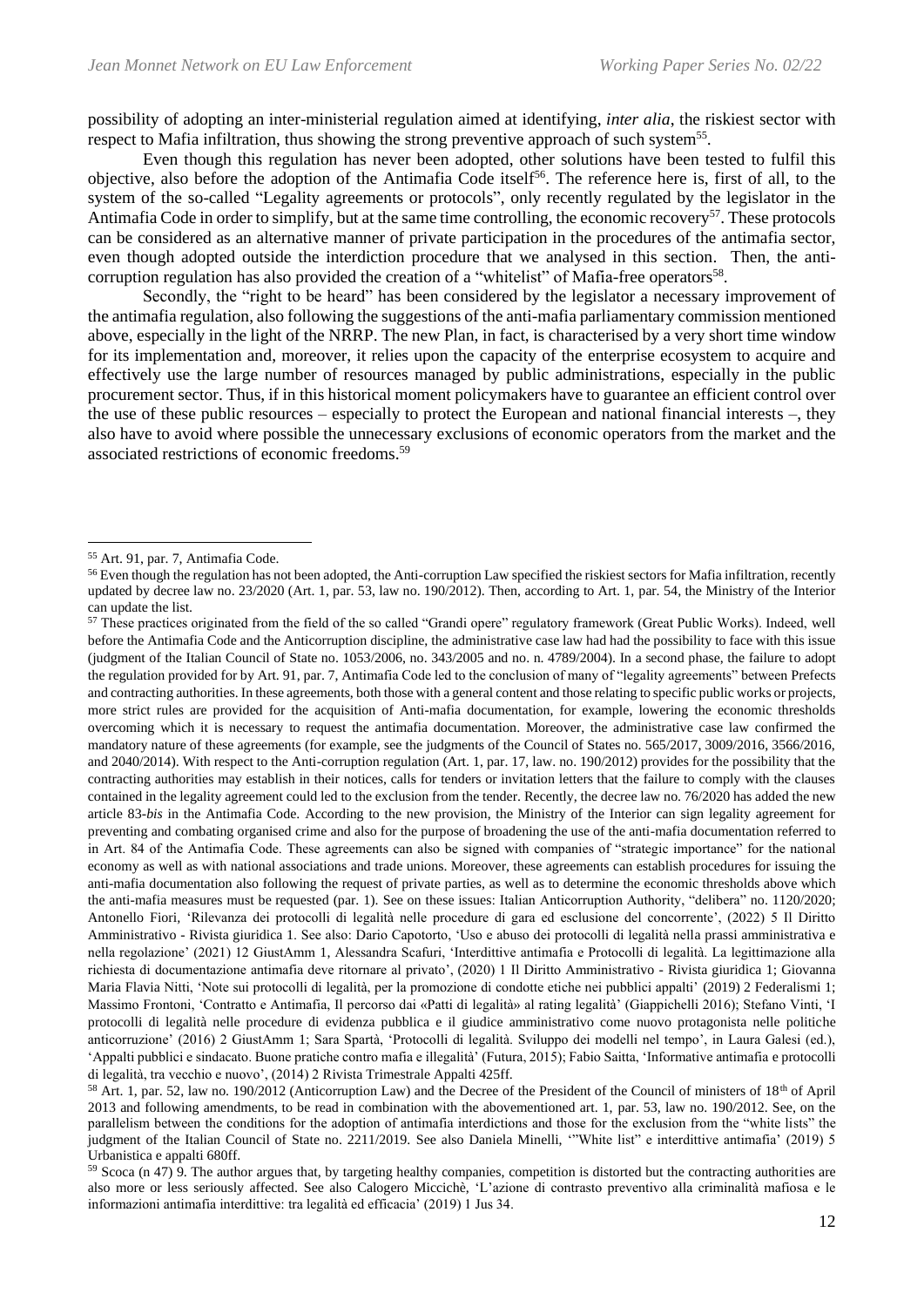possibility of adopting an inter-ministerial regulation aimed at identifying, *inter alia*, the riskiest sector with respect to Mafia infiltration, thus showing the strong preventive approach of such system<sup>55</sup>.

Even though this regulation has never been adopted, other solutions have been tested to fulfil this objective, also before the adoption of the Antimafia Code itself<sup>56</sup>. The reference here is, first of all, to the system of the so-called "Legality agreements or protocols", only recently regulated by the legislator in the Antimafia Code in order to simplify, but at the same time controlling, the economic recovery<sup>57</sup>. These protocols can be considered as an alternative manner of private participation in the procedures of the antimafia sector, even though adopted outside the interdiction procedure that we analysed in this section. Then, the anticorruption regulation has also provided the creation of a "whitelist" of Mafia-free operators<sup>58</sup>.

Secondly, the "right to be heard" has been considered by the legislator a necessary improvement of the antimafia regulation, also following the suggestions of the anti-mafia parliamentary commission mentioned above, especially in the light of the NRRP. The new Plan, in fact, is characterised by a very short time window for its implementation and, moreover, it relies upon the capacity of the enterprise ecosystem to acquire and effectively use the large number of resources managed by public administrations, especially in the public procurement sector. Thus, if in this historical moment policymakers have to guarantee an efficient control over the use of these public resources – especially to protect the European and national financial interests –, they also have to avoid where possible the unnecessary exclusions of economic operators from the market and the associated restrictions of economic freedoms.<sup>59</sup>

<sup>55</sup> Art. 91, par. 7, Antimafia Code.

<sup>&</sup>lt;sup>56</sup> Even though the regulation has not been adopted, the Anti-corruption Law specified the riskiest sectors for Mafia infiltration, recently updated by decree law no. 23/2020 (Art. 1, par. 53, law no. 190/2012). Then, according to Art. 1, par. 54, the Ministry of the Interior can update the list.

<sup>57</sup> These practices originated from the field of the so called "Grandi opere" regulatory framework (Great Public Works). Indeed, well before the Antimafia Code and the Anticorruption discipline, the administrative case law had had the possibility to face with this issue (judgment of the Italian Council of State no. 1053/2006, no. 343/2005 and no. n. 4789/2004). In a second phase, the failure to adopt the regulation provided for by Art. 91, par. 7, Antimafia Code led to the conclusion of many of "legality agreements" between Prefects and contracting authorities. In these agreements, both those with a general content and those relating to specific public works or projects, more strict rules are provided for the acquisition of Anti-mafia documentation, for example, lowering the economic thresholds overcoming which it is necessary to request the antimafia documentation. Moreover, the administrative case law confirmed the mandatory nature of these agreements (for example, see the judgments of the Council of States no. 565/2017, 3009/2016, 3566/2016, and 2040/2014). With respect to the Anti-corruption regulation (Art. 1, par. 17, law. no. 190/2012) provides for the possibility that the contracting authorities may establish in their notices, calls for tenders or invitation letters that the failure to comply with the clauses contained in the legality agreement could led to the exclusion from the tender. Recently, the decree law no. 76/2020 has added the new article 83-*bis* in the Antimafia Code. According to the new provision, the Ministry of the Interior can sign legality agreement for preventing and combating organised crime and also for the purpose of broadening the use of the anti-mafia documentation referred to in Art. 84 of the Antimafia Code. These agreements can also be signed with companies of "strategic importance" for the national economy as well as with national associations and trade unions. Moreover, these agreements can establish procedures for issuing the anti-mafia documentation also following the request of private parties, as well as to determine the economic thresholds above which the anti-mafia measures must be requested (par. 1). See on these issues: Italian Anticorruption Authority, "delibera" no. 1120/2020; Antonello Fiori*,* 'Rilevanza dei protocolli di legalità nelle procedure di gara ed esclusione del concorrente', (2022) 5 Il Diritto Amministrativo - Rivista giuridica 1. See also: Dario Capotorto, 'Uso e abuso dei protocolli di legalità nella prassi amministrativa e nella regolazione' (2021) 12 GiustAmm 1, Alessandra Scafuri, 'Interdittive antimafia e Protocolli di legalità. La legittimazione alla richiesta di documentazione antimafia deve ritornare al privato', (2020) 1 Il Diritto Amministrativo - Rivista giuridica 1; Giovanna Maria Flavia Nitti, 'Note sui protocolli di legalità, per la promozione di condotte etiche nei pubblici appalti' (2019) 2 Federalismi 1; Massimo Frontoni, 'Contratto e Antimafia, Il percorso dai «Patti di legalità» al rating legalità' (Giappichelli 2016); Stefano Vinti, 'I protocolli di legalità nelle procedure di evidenza pubblica e il giudice amministrativo come nuovo protagonista nelle politiche anticorruzione' (2016) 2 GiustAmm 1; Sara Spartà, 'Protocolli di legalità. Sviluppo dei modelli nel tempo', in Laura Galesi (ed.), 'Appalti pubblici e sindacato. Buone pratiche contro mafia e illegalità' (Futura, 2015); Fabio Saitta, 'Informative antimafia e protocolli di legalità, tra vecchio e nuovo', (2014) 2 Rivista Trimestrale Appalti 425ff.

<sup>&</sup>lt;sup>58</sup> Art. 1, par. 52, law no. 190/2012 (Anticorruption Law) and the Decree of the President of the Council of ministers of 18<sup>th</sup> of April 2013 and following amendments, to be read in combination with the abovementioned art. 1, par. 53, law no. 190/2012. See, on the parallelism between the conditions for the adoption of antimafia interdictions and those for the exclusion from the "white lists" the judgment of the Italian Council of State no. 2211/2019. See also Daniela Minelli, '"White list" e interdittive antimafia' (2019) 5 Urbanistica e appalti 680ff.

 $59$  Scoca (n 47) 9. The author argues that, by targeting healthy companies, competition is distorted but the contracting authorities are also more or less seriously affected. See also Calogero Miccichè, 'L'azione di contrasto preventivo alla criminalità mafiosa e le informazioni antimafia interdittive: tra legalità ed efficacia' (2019) 1 Jus 34.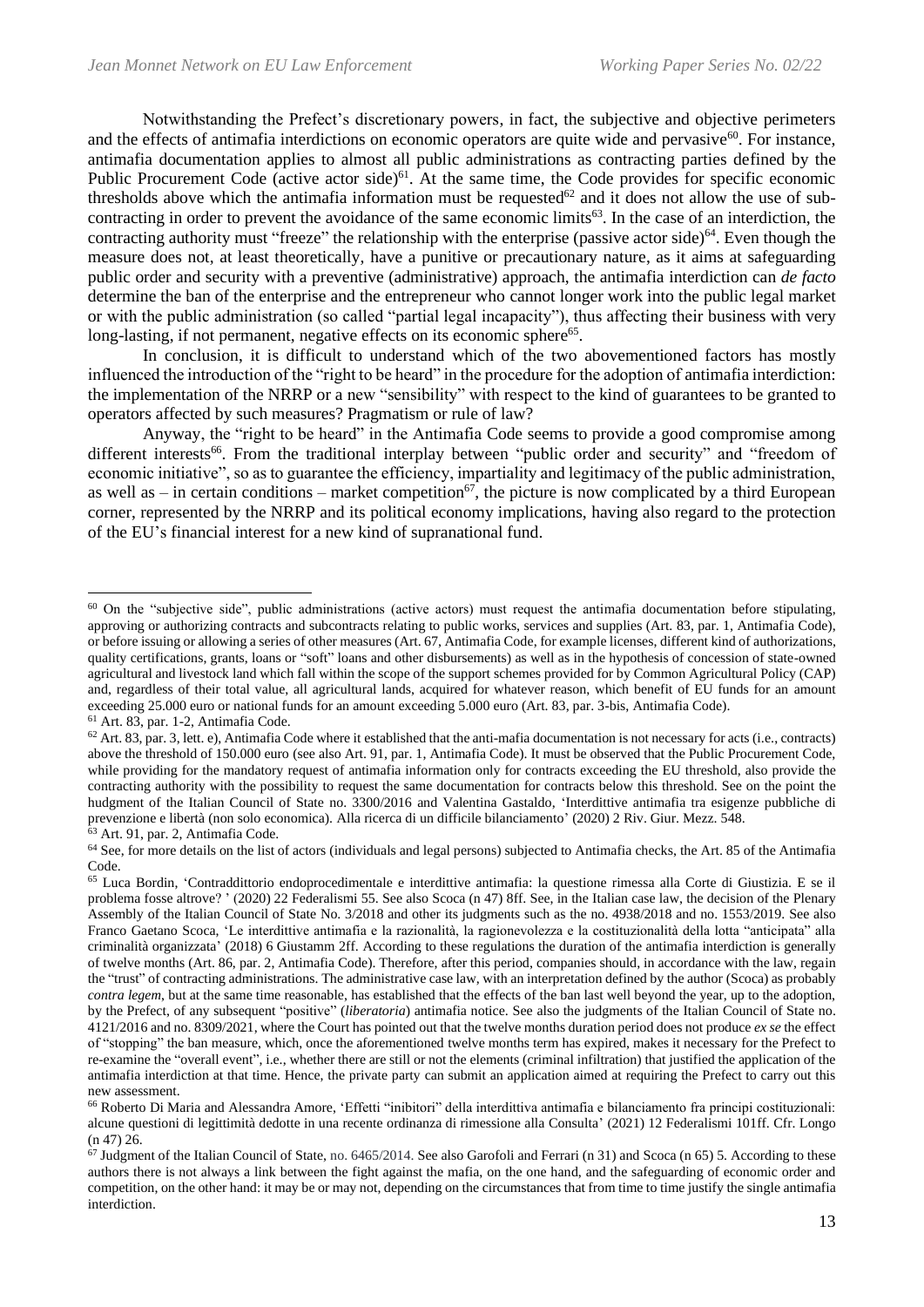Notwithstanding the Prefect's discretionary powers, in fact, the subjective and objective perimeters and the effects of antimafia interdictions on economic operators are quite wide and pervasive<sup>60</sup>. For instance, antimafia documentation applies to almost all public administrations as contracting parties defined by the Public Procurement Code (active actor side)<sup>61</sup>. At the same time, the Code provides for specific economic thresholds above which the antimafia information must be requested<sup>62</sup> and it does not allow the use of subcontracting in order to prevent the avoidance of the same economic limits<sup>63</sup>. In the case of an interdiction, the contracting authority must "freeze" the relationship with the enterprise (passive actor side) $64$ . Even though the measure does not, at least theoretically, have a punitive or precautionary nature, as it aims at safeguarding public order and security with a preventive (administrative) approach, the antimafia interdiction can *de facto*  determine the ban of the enterprise and the entrepreneur who cannot longer work into the public legal market or with the public administration (so called "partial legal incapacity"), thus affecting their business with very long-lasting, if not permanent, negative effects on its economic sphere<sup>65</sup>.

In conclusion, it is difficult to understand which of the two abovementioned factors has mostly influenced the introduction of the "right to be heard" in the procedure for the adoption of antimafia interdiction: the implementation of the NRRP or a new "sensibility" with respect to the kind of guarantees to be granted to operators affected by such measures? Pragmatism or rule of law?

Anyway, the "right to be heard" in the Antimafia Code seems to provide a good compromise among different interests<sup>66</sup>. From the traditional interplay between "public order and security" and "freedom of economic initiative", so as to guarantee the efficiency, impartiality and legitimacy of the public administration, as well as – in certain conditions – market competition<sup>67</sup>, the picture is now complicated by a third European corner, represented by the NRRP and its political economy implications, having also regard to the protection of the EU's financial interest for a new kind of supranational fund.

<sup>&</sup>lt;sup>60</sup> On the "subjective side", public administrations (active actors) must request the antimafia documentation before stipulating, approving or authorizing contracts and subcontracts relating to public works, services and supplies (Art. 83, par. 1, Antimafia Code), or before issuing or allowing a series of other measures (Art. 67, Antimafia Code, for example licenses, different kind of authorizations, quality certifications, grants, loans or "soft" loans and other disbursements) as well as in the hypothesis of concession of state-owned agricultural and livestock land which fall within the scope of the support schemes provided for by Common Agricultural Policy (CAP) and, regardless of their total value, all agricultural lands, acquired for whatever reason, which benefit of EU funds for an amount exceeding 25.000 euro or national funds for an amount exceeding 5.000 euro (Art. 83, par. 3-bis, Antimafia Code). <sup>61</sup> Art. 83, par. 1-2, Antimafia Code.

 $62$  Art. 83, par. 3, lett. e), Antimafia Code where it established that the anti-mafia documentation is not necessary for acts (i.e., contracts) above the threshold of 150.000 euro (see also Art. 91, par. 1, Antimafia Code). It must be observed that the Public Procurement Code, while providing for the mandatory request of antimafia information only for contracts exceeding the EU threshold, also provide the contracting authority with the possibility to request the same documentation for contracts below this threshold. See on the point the hudgment of the Italian Council of State no. 3300/2016 and Valentina Gastaldo, 'Interdittive antimafia tra esigenze pubbliche di prevenzione e libertà (non solo economica). Alla ricerca di un difficile bilanciamento' (2020) 2 Riv. Giur. Mezz. 548. <sup>63</sup> Art. 91, par. 2, Antimafia Code.

<sup>&</sup>lt;sup>64</sup> See, for more details on the list of actors (individuals and legal persons) subjected to Antimafia checks, the Art. 85 of the Antimafia Code.

<sup>65</sup> Luca Bordin, 'Contraddittorio endoprocedimentale e interdittive antimafia: la questione rimessa alla Corte di Giustizia. E se il problema fosse altrove? ' (2020) 22 Federalismi 55. See also Scoca (n 47) 8ff. See, in the Italian case law, the decision of the Plenary Assembly of the Italian Council of State No. 3/2018 and other its judgments such as the no. 4938/2018 and no. 1553/2019. See also Franco Gaetano Scoca, 'Le interdittive antimafia e la razionalità, la ragionevolezza e la costituzionalità della lotta "anticipata" alla criminalità organizzata' (2018) 6 Giustamm 2ff. According to these regulations the duration of the antimafia interdiction is generally of twelve months (Art. 86, par. 2, Antimafia Code). Therefore, after this period, companies should, in accordance with the law, regain the "trust" of contracting administrations. The administrative case law, with an interpretation defined by the author (Scoca) as probably *contra legem*, but at the same time reasonable, has established that the effects of the ban last well beyond the year, up to the adoption, by the Prefect, of any subsequent "positive" (*liberatoria*) antimafia notice. See also the judgments of the Italian Council of State no. 4121/2016 and no. 8309/2021, where the Court has pointed out that the twelve months duration period does not produce *ex se* the effect of "stopping" the ban measure, which, once the aforementioned twelve months term has expired, makes it necessary for the Prefect to re-examine the "overall event", i.e., whether there are still or not the elements (criminal infiltration) that justified the application of the antimafia interdiction at that time. Hence, the private party can submit an application aimed at requiring the Prefect to carry out this new assessment.

<sup>66</sup> Roberto Di Maria and Alessandra Amore, 'Effetti "inibitori" della interdittiva antimafia e bilanciamento fra principi costituzionali: alcune questioni di legittimità dedotte in una recente ordinanza di rimessione alla Consulta' (2021) 12 Federalismi 101ff. Cfr. Longo (n 47) 26.

 $^{67}$  Judgment of the Italian Council of State, no. 6465/2014. See also Garofoli and Ferrari (n 31) and Scoca (n 65) 5. According to these authors there is not always a link between the fight against the mafia, on the one hand, and the safeguarding of economic order and competition, on the other hand: it may be or may not, depending on the circumstances that from time to time justify the single antimafia interdiction.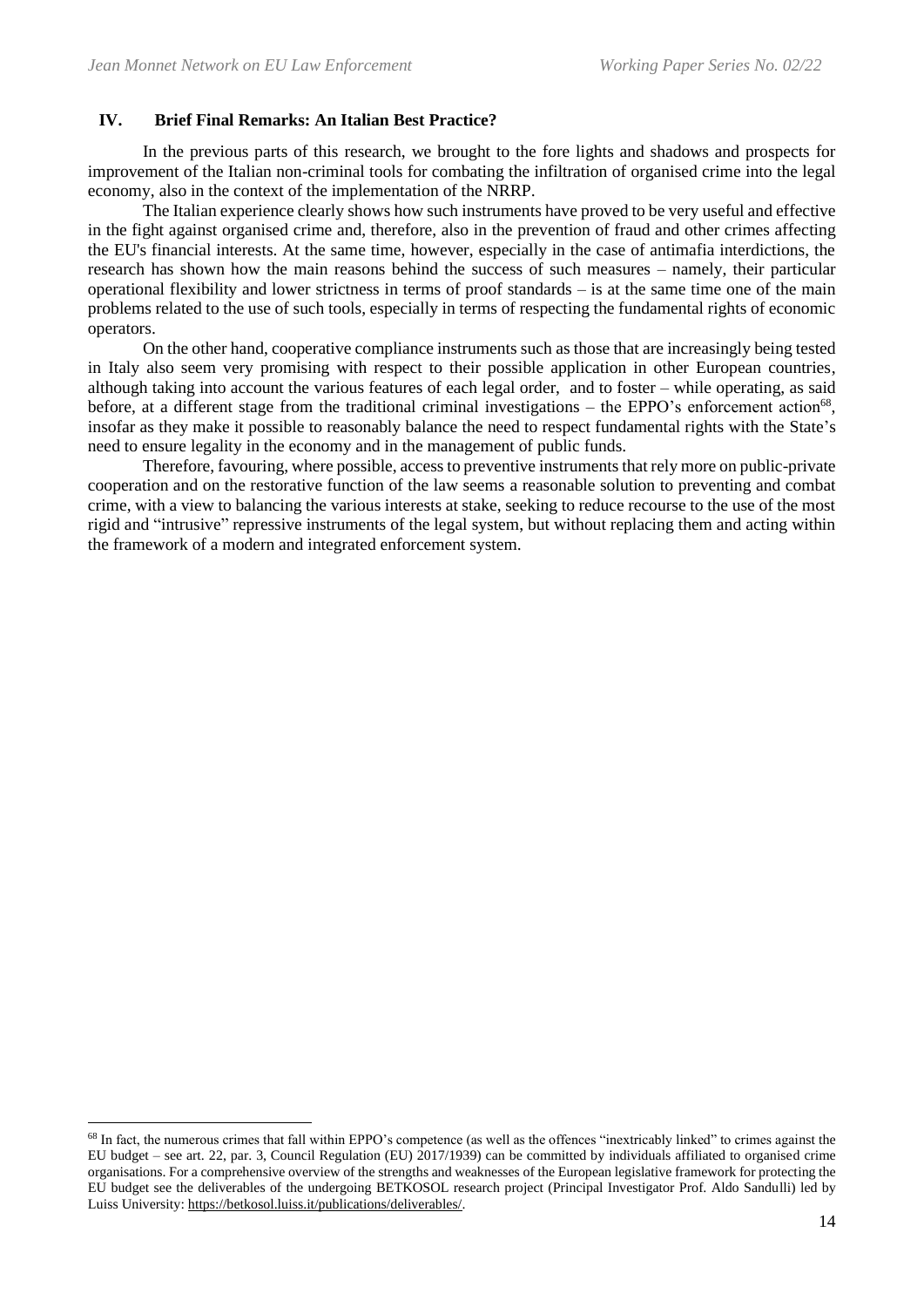# **IV. Brief Final Remarks: An Italian Best Practice?**

In the previous parts of this research, we brought to the fore lights and shadows and prospects for improvement of the Italian non-criminal tools for combating the infiltration of organised crime into the legal economy, also in the context of the implementation of the NRRP.

The Italian experience clearly shows how such instruments have proved to be very useful and effective in the fight against organised crime and, therefore, also in the prevention of fraud and other crimes affecting the EU's financial interests. At the same time, however, especially in the case of antimafia interdictions, the research has shown how the main reasons behind the success of such measures – namely, their particular operational flexibility and lower strictness in terms of proof standards – is at the same time one of the main problems related to the use of such tools, especially in terms of respecting the fundamental rights of economic operators.

On the other hand, cooperative compliance instruments such as those that are increasingly being tested in Italy also seem very promising with respect to their possible application in other European countries, although taking into account the various features of each legal order, and to foster – while operating, as said before, at a different stage from the traditional criminal investigations - the EPPO's enforcement action<sup>68</sup>, insofar as they make it possible to reasonably balance the need to respect fundamental rights with the State's need to ensure legality in the economy and in the management of public funds.

Therefore, favouring, where possible, access to preventive instruments that rely more on public-private cooperation and on the restorative function of the law seems a reasonable solution to preventing and combat crime, with a view to balancing the various interests at stake, seeking to reduce recourse to the use of the most rigid and "intrusive" repressive instruments of the legal system, but without replacing them and acting within the framework of a modern and integrated enforcement system.

<sup>&</sup>lt;sup>68</sup> In fact, the numerous crimes that fall within EPPO's competence (as well as the offences "inextricably linked" to crimes against the EU budget – see art. 22, par. 3, Council Regulation (EU) 2017/1939) can be committed by individuals affiliated to organised crime organisations. For a comprehensive overview of the strengths and weaknesses of the European legislative framework for protecting the EU budget see the deliverables of the undergoing BETKOSOL research project (Principal Investigator Prof. Aldo Sandulli) led by Luiss University: [https://betkosol.luiss.it/publications/deliverables/.](https://betkosol.luiss.it/publications/deliverables/)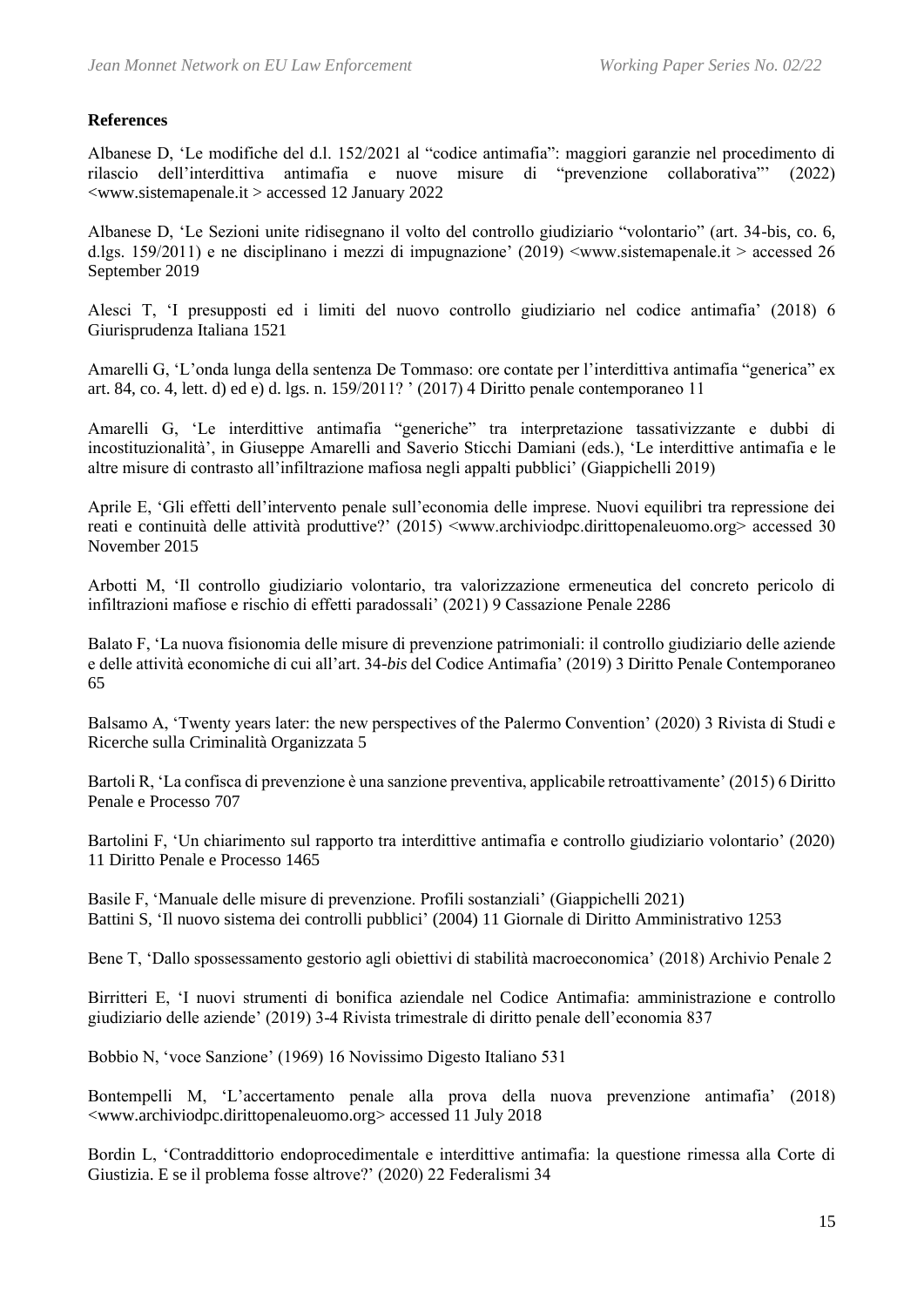# **References**

Albanese D, 'Le modifiche del d.l. 152/2021 al "codice antimafia": maggiori garanzie nel procedimento di rilascio dell'interdittiva antimafia e nuove misure di "prevenzione collaborativa"' (2022) <www.sistemapenale.it > accessed 12 January 2022

Albanese D, 'Le Sezioni unite ridisegnano il volto del controllo giudiziario "volontario" (art. 34-bis, co. 6, d.lgs. 159/2011) e ne disciplinano i mezzi di impugnazione' (2019) <www.sistemapenale.it > accessed 26 September 2019

Alesci T, 'I presupposti ed i limiti del nuovo controllo giudiziario nel codice antimafia' (2018) 6 Giurisprudenza Italiana 1521

Amarelli G, 'L'onda lunga della sentenza De Tommaso: ore contate per l'interdittiva antimafia "generica" ex art. 84, co. 4, lett. d) ed e) d. lgs. n. 159/2011? ' (2017) 4 Diritto penale contemporaneo 11

Amarelli G, 'Le interdittive antimafia "generiche" tra interpretazione tassativizzante e dubbi di incostituzionalità', in Giuseppe Amarelli and Saverio Sticchi Damiani (eds.), 'Le interdittive antimafia e le altre misure di contrasto all'infiltrazione mafiosa negli appalti pubblici' (Giappichelli 2019)

Aprile E, 'Gli effetti dell'intervento penale sull'economia delle imprese. Nuovi equilibri tra repressione dei reati e continuità delle attività produttive?' (2015) <www.archiviodpc.dirittopenaleuomo.org> accessed 30 November 2015

Arbotti M, 'Il controllo giudiziario volontario, tra valorizzazione ermeneutica del concreto pericolo di infiltrazioni mafiose e rischio di effetti paradossali' (2021) 9 Cassazione Penale 2286

Balato F, 'La nuova fisionomia delle misure di prevenzione patrimoniali: il controllo giudiziario delle aziende e delle attività economiche di cui all'art. 34-*bis* del Codice Antimafia' (2019) 3 Diritto Penale Contemporaneo 65

Balsamo A, 'Twenty years later: the new perspectives of the Palermo Convention' (2020) 3 Rivista di Studi e Ricerche sulla Criminalità Organizzata 5

Bartoli R, 'La confisca di prevenzione è una sanzione preventiva, applicabile retroattivamente' (2015) 6 Diritto Penale e Processo 707

Bartolini F, 'Un chiarimento sul rapporto tra interdittive antimafia e controllo giudiziario volontario' (2020) 11 Diritto Penale e Processo 1465

Basile F, 'Manuale delle misure di prevenzione. Profili sostanziali' (Giappichelli 2021) Battini S, 'Il nuovo sistema dei controlli pubblici' (2004) 11 Giornale di Diritto Amministrativo 1253

Bene T, 'Dallo spossessamento gestorio agli obiettivi di stabilità macroeconomica' (2018) Archivio Penale 2

Birritteri E, 'I nuovi strumenti di bonifica aziendale nel Codice Antimafia: amministrazione e controllo giudiziario delle aziende' (2019) 3-4 Rivista trimestrale di diritto penale dell'economia 837

Bobbio N, 'voce Sanzione' (1969) 16 Novissimo Digesto Italiano 531

Bontempelli M, 'L'accertamento penale alla prova della nuova prevenzione antimafia' (2018) <www.archiviodpc.dirittopenaleuomo.org> accessed 11 July 2018

Bordin L, 'Contraddittorio endoprocedimentale e interdittive antimafia: la questione rimessa alla Corte di Giustizia. E se il problema fosse altrove?' (2020) 22 Federalismi 34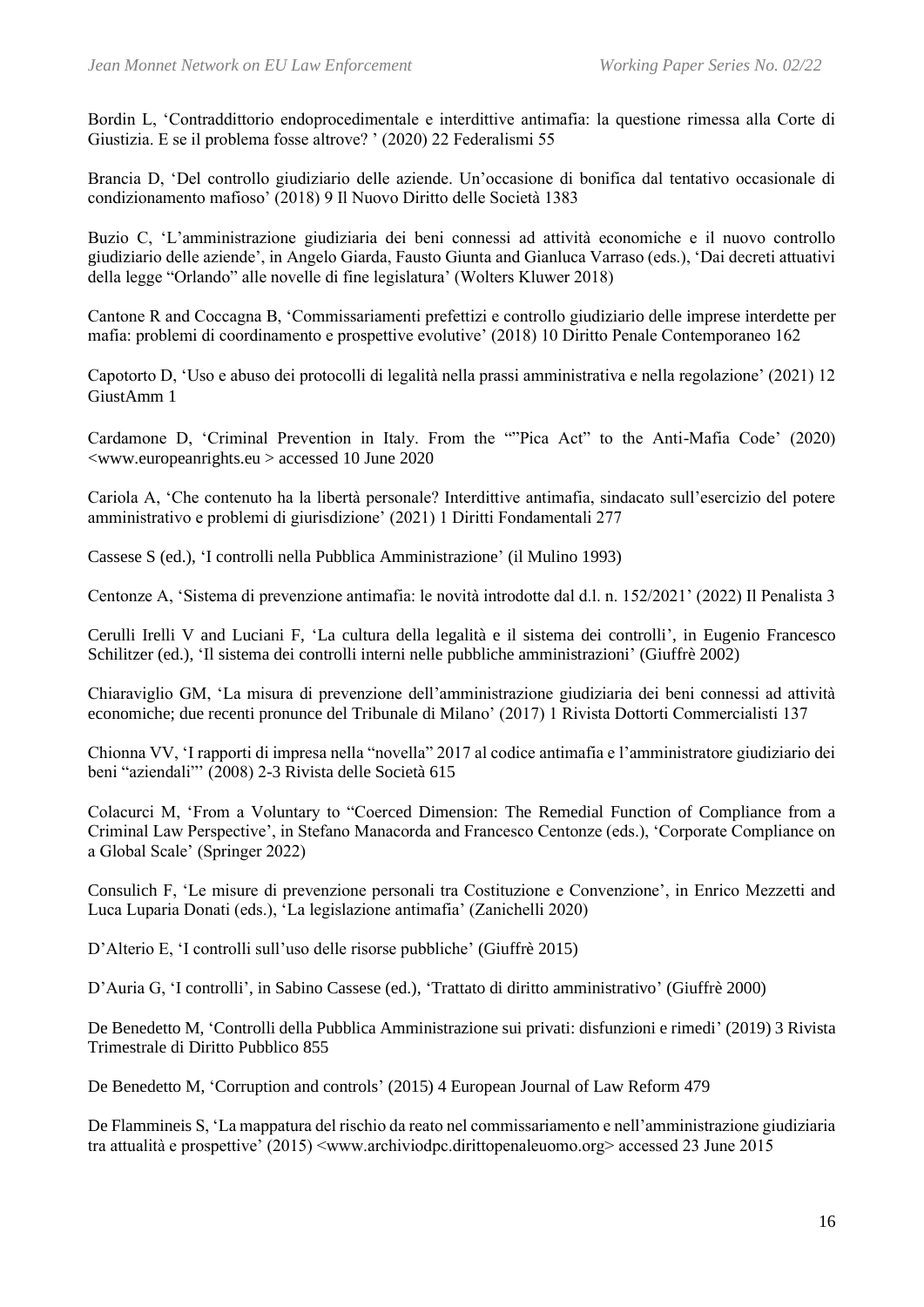Bordin L, 'Contraddittorio endoprocedimentale e interdittive antimafia: la questione rimessa alla Corte di Giustizia. E se il problema fosse altrove? ' (2020) 22 Federalismi 55

Brancia D, 'Del controllo giudiziario delle aziende. Un'occasione di bonifica dal tentativo occasionale di condizionamento mafioso' (2018) 9 Il Nuovo Diritto delle Società 1383

Buzio C, 'L'amministrazione giudiziaria dei beni connessi ad attività economiche e il nuovo controllo giudiziario delle aziende', in Angelo Giarda, Fausto Giunta and Gianluca Varraso (eds.), 'Dai decreti attuativi della legge "Orlando" alle novelle di fine legislatura' (Wolters Kluwer 2018)

Cantone R and Coccagna B, 'Commissariamenti prefettizi e controllo giudiziario delle imprese interdette per mafia: problemi di coordinamento e prospettive evolutive' (2018) 10 Diritto Penale Contemporaneo 162

Capotorto D, 'Uso e abuso dei protocolli di legalità nella prassi amministrativa e nella regolazione' (2021) 12 GiustAmm 1

Cardamone D, 'Criminal Prevention in Italy. From the ""Pica Act" to the Anti-Mafia Code' (2020) <www.europeanrights.eu > accessed 10 June 2020

Cariola A, 'Che contenuto ha la libertà personale? Interdittive antimafia, sindacato sull'esercizio del potere amministrativo e problemi di giurisdizione' (2021) 1 Diritti Fondamentali 277

Cassese S (ed.), 'I controlli nella Pubblica Amministrazione' (il Mulino 1993)

Centonze A, 'Sistema di prevenzione antimafia: le novità introdotte dal d.l. n. 152/2021' (2022) Il Penalista 3

Cerulli Irelli V and Luciani F, 'La cultura della legalità e il sistema dei controlli', in Eugenio Francesco Schilitzer (ed.), 'Il sistema dei controlli interni nelle pubbliche amministrazioni' (Giuffrè 2002)

Chiaraviglio GM, 'La misura di prevenzione dell'amministrazione giudiziaria dei beni connessi ad attività economiche; due recenti pronunce del Tribunale di Milano' (2017) 1 Rivista Dottorti Commercialisti 137

Chionna VV, 'I rapporti di impresa nella "novella" 2017 al codice antimafia e l'amministratore giudiziario dei beni "aziendali"' (2008) 2-3 Rivista delle Società 615

Colacurci M, 'From a Voluntary to "Coerced Dimension: The Remedial Function of Compliance from a Criminal Law Perspective', in Stefano Manacorda and Francesco Centonze (eds.), 'Corporate Compliance on a Global Scale' (Springer 2022)

Consulich F, 'Le misure di prevenzione personali tra Costituzione e Convenzione', in Enrico Mezzetti and Luca Luparia Donati (eds.), 'La legislazione antimafia' (Zanichelli 2020)

D'Alterio E, 'I controlli sull'uso delle risorse pubbliche' (Giuffrè 2015)

D'Auria G, 'I controlli', in Sabino Cassese (ed.), 'Trattato di diritto amministrativo' (Giuffrè 2000)

De Benedetto M, 'Controlli della Pubblica Amministrazione sui privati: disfunzioni e rimedi' (2019) 3 Rivista Trimestrale di Diritto Pubblico 855

De Benedetto M, 'Corruption and controls' (2015) 4 European Journal of Law Reform 479

De Flammineis S, 'La mappatura del rischio da reato nel commissariamento e nell'amministrazione giudiziaria tra attualità e prospettive' (2015) <www.archiviodpc.dirittopenaleuomo.org> accessed 23 June 2015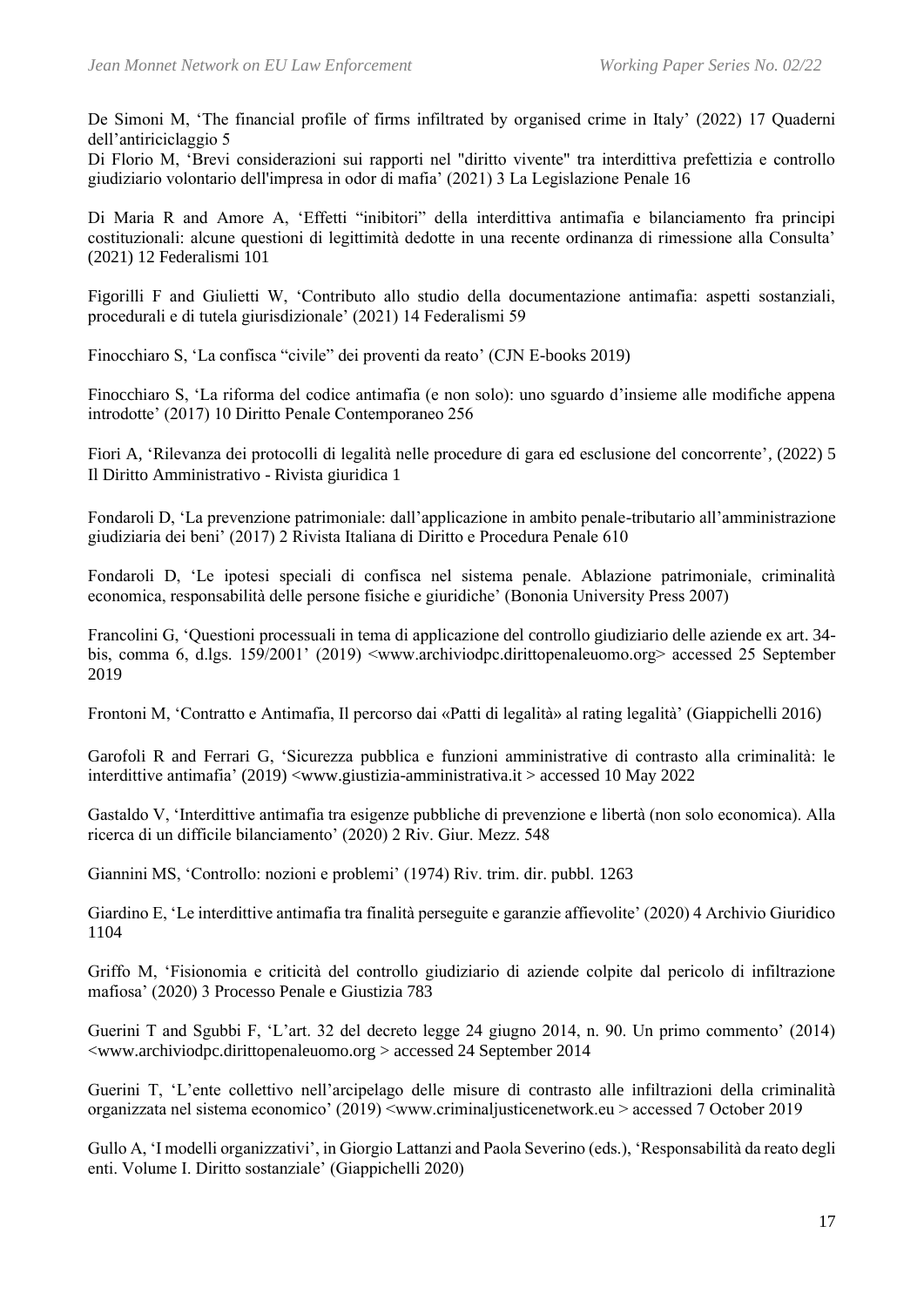De Simoni M, 'The financial profile of firms infiltrated by organised crime in Italy' (2022) 17 Quaderni dell'antiriciclaggio 5

Di Florio M, 'Brevi considerazioni sui rapporti nel "diritto vivente" tra interdittiva prefettizia e controllo giudiziario volontario dell'impresa in odor di mafia' (2021) 3 La Legislazione Penale 16

Di Maria R and Amore A, 'Effetti "inibitori" della interdittiva antimafia e bilanciamento fra principi costituzionali: alcune questioni di legittimità dedotte in una recente ordinanza di rimessione alla Consulta' (2021) 12 Federalismi 101

Figorilli F and Giulietti W, 'Contributo allo studio della documentazione antimafia: aspetti sostanziali, procedurali e di tutela giurisdizionale' (2021) 14 Federalismi 59

Finocchiaro S, 'La confisca "civile" dei proventi da reato' (CJN E-books 2019)

Finocchiaro S, 'La riforma del codice antimafia (e non solo): uno sguardo d'insieme alle modifiche appena introdotte' (2017) 10 Diritto Penale Contemporaneo 256

Fiori A*,* 'Rilevanza dei protocolli di legalità nelle procedure di gara ed esclusione del concorrente', (2022) 5 Il Diritto Amministrativo - Rivista giuridica 1

Fondaroli D, 'La prevenzione patrimoniale: dall'applicazione in ambito penale-tributario all'amministrazione giudiziaria dei beni' (2017) 2 Rivista Italiana di Diritto e Procedura Penale 610

Fondaroli D, 'Le ipotesi speciali di confisca nel sistema penale. Ablazione patrimoniale, criminalità economica, responsabilità delle persone fisiche e giuridiche' (Bononia University Press 2007)

Francolini G, 'Questioni processuali in tema di applicazione del controllo giudiziario delle aziende ex art. 34 bis, comma 6, d.lgs. 159/2001' (2019) <www.archiviodpc.dirittopenaleuomo.org> accessed 25 September 2019

Frontoni M, 'Contratto e Antimafia, Il percorso dai «Patti di legalità» al rating legalità' (Giappichelli 2016)

Garofoli R and Ferrari G, 'Sicurezza pubblica e funzioni amministrative di contrasto alla criminalità: le interdittive antimafia' (2019) <www.giustizia-amministrativa.it > accessed 10 May 2022

Gastaldo V, 'Interdittive antimafia tra esigenze pubbliche di prevenzione e libertà (non solo economica). Alla ricerca di un difficile bilanciamento' (2020) 2 Riv. Giur. Mezz. 548

Giannini MS, 'Controllo: nozioni e problemi' (1974) Riv. trim. dir. pubbl. 1263

Giardino E, 'Le interdittive antimafia tra finalità perseguite e garanzie affievolite' (2020) 4 Archivio Giuridico 1104

Griffo M, 'Fisionomia e criticità del controllo giudiziario di aziende colpite dal pericolo di infiltrazione mafiosa' (2020) 3 Processo Penale e Giustizia 783

Guerini T and Sgubbi F, 'L'art. 32 del decreto legge 24 giugno 2014, n. 90. Un primo commento' (2014) <www.archiviodpc.dirittopenaleuomo.org > accessed 24 September 2014

Guerini T, 'L'ente collettivo nell'arcipelago delle misure di contrasto alle infiltrazioni della criminalità organizzata nel sistema economico' (2019) <www.criminaljusticenetwork.eu > accessed 7 October 2019

Gullo A, 'I modelli organizzativi', in Giorgio Lattanzi and Paola Severino (eds.), 'Responsabilità da reato degli enti. Volume I. Diritto sostanziale' (Giappichelli 2020)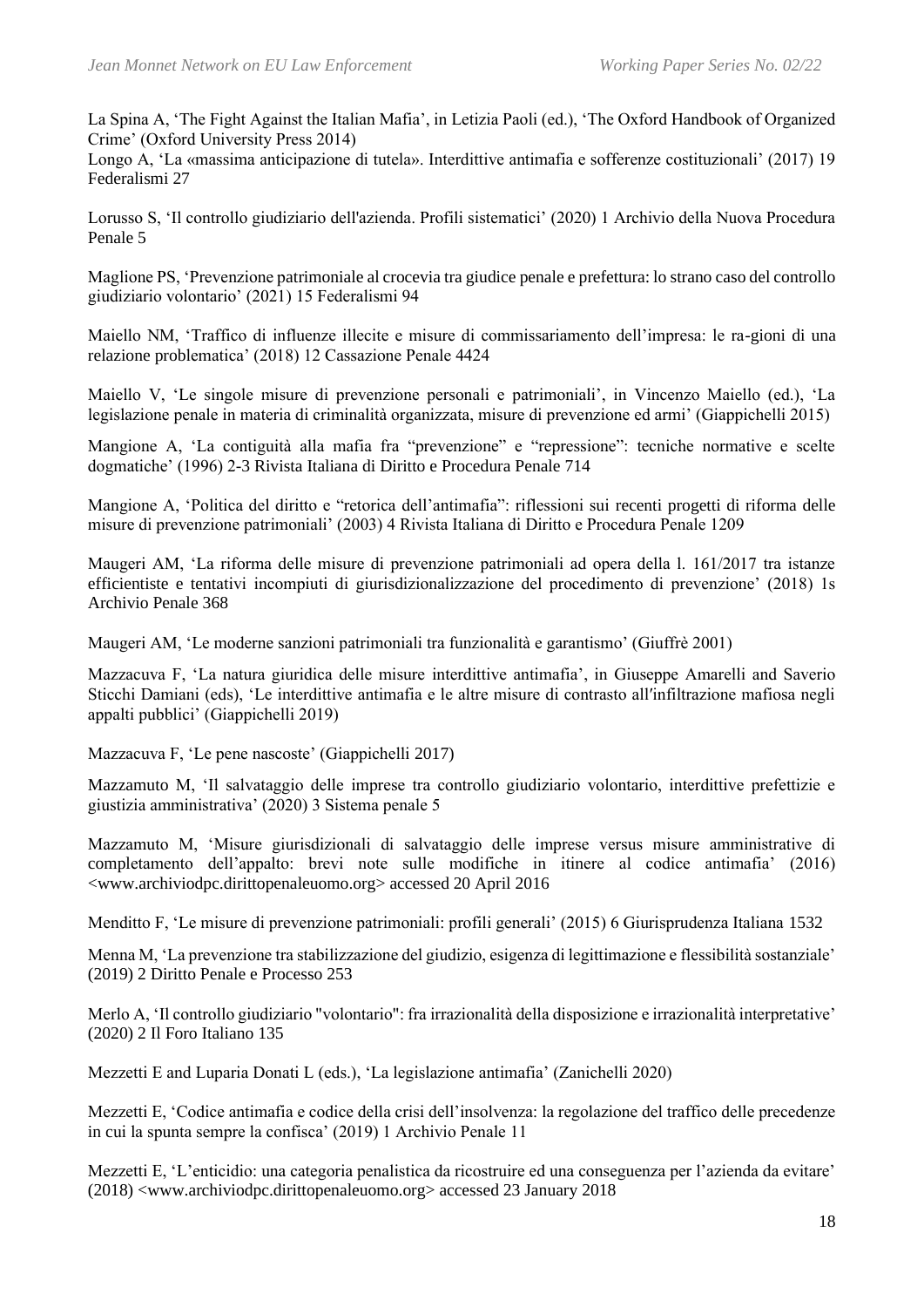La Spina A, 'The Fight Against the Italian Mafia', in Letizia Paoli (ed.), 'The Oxford Handbook of Organized Crime' (Oxford University Press 2014)

Longo A, 'La «massima anticipazione di tutela». Interdittive antimafia e sofferenze costituzionali' (2017) 19 Federalismi 27

Lorusso S, 'Il controllo giudiziario dell'azienda. Profili sistematici' (2020) 1 Archivio della Nuova Procedura Penale 5

Maglione PS, 'Prevenzione patrimoniale al crocevia tra giudice penale e prefettura: lo strano caso del controllo giudiziario volontario' (2021) 15 Federalismi 94

Maiello NM, 'Traffico di influenze illecite e misure di commissariamento dell'impresa: le ra-gioni di una relazione problematica' (2018) 12 Cassazione Penale 4424

Maiello V, 'Le singole misure di prevenzione personali e patrimoniali', in Vincenzo Maiello (ed.), 'La legislazione penale in materia di criminalità organizzata, misure di prevenzione ed armi' (Giappichelli 2015)

Mangione A, 'La contiguità alla mafia fra "prevenzione" e "repressione": tecniche normative e scelte dogmatiche' (1996) 2-3 Rivista Italiana di Diritto e Procedura Penale 714

Mangione A, 'Politica del diritto e "retorica dell'antimafia": riflessioni sui recenti progetti di riforma delle misure di prevenzione patrimoniali' (2003) 4 Rivista Italiana di Diritto e Procedura Penale 1209

Maugeri AM, 'La riforma delle misure di prevenzione patrimoniali ad opera della l. 161/2017 tra istanze efficientiste e tentativi incompiuti di giurisdizionalizzazione del procedimento di prevenzione' (2018) 1s Archivio Penale 368

Maugeri AM, 'Le moderne sanzioni patrimoniali tra funzionalità e garantismo' (Giuffrè 2001)

Mazzacuva F, 'La natura giuridica delle misure interdittive antimafia', in Giuseppe Amarelli and Saverio Sticchi Damiani (eds), 'Le interdittive antimafia e le altre misure di contrasto allʹinfiltrazione mafiosa negli appalti pubblici' (Giappichelli 2019)

Mazzacuva F, 'Le pene nascoste' (Giappichelli 2017)

Mazzamuto M, 'Il salvataggio delle imprese tra controllo giudiziario volontario, interdittive prefettizie e giustizia amministrativa' (2020) 3 Sistema penale 5

Mazzamuto M, 'Misure giurisdizionali di salvataggio delle imprese versus misure amministrative di completamento dell'appalto: brevi note sulle modifiche in itinere al codice antimafia' (2016) <www.archiviodpc.dirittopenaleuomo.org> accessed 20 April 2016

Menditto F, 'Le misure di prevenzione patrimoniali: profili generali' (2015) 6 Giurisprudenza Italiana 1532

Menna M, 'La prevenzione tra stabilizzazione del giudizio, esigenza di legittimazione e flessibilità sostanziale' (2019) 2 Diritto Penale e Processo 253

Merlo A, 'Il controllo giudiziario "volontario": fra irrazionalità della disposizione e irrazionalità interpretative' (2020) 2 Il Foro Italiano 135

Mezzetti E and Luparia Donati L (eds.), 'La legislazione antimafia' (Zanichelli 2020)

Mezzetti E, 'Codice antimafia e codice della crisi dell'insolvenza: la regolazione del traffico delle precedenze in cui la spunta sempre la confisca' (2019) 1 Archivio Penale 11

Mezzetti E, 'L'enticidio: una categoria penalistica da ricostruire ed una conseguenza per l'azienda da evitare' (2018) <www.archiviodpc.dirittopenaleuomo.org> accessed 23 January 2018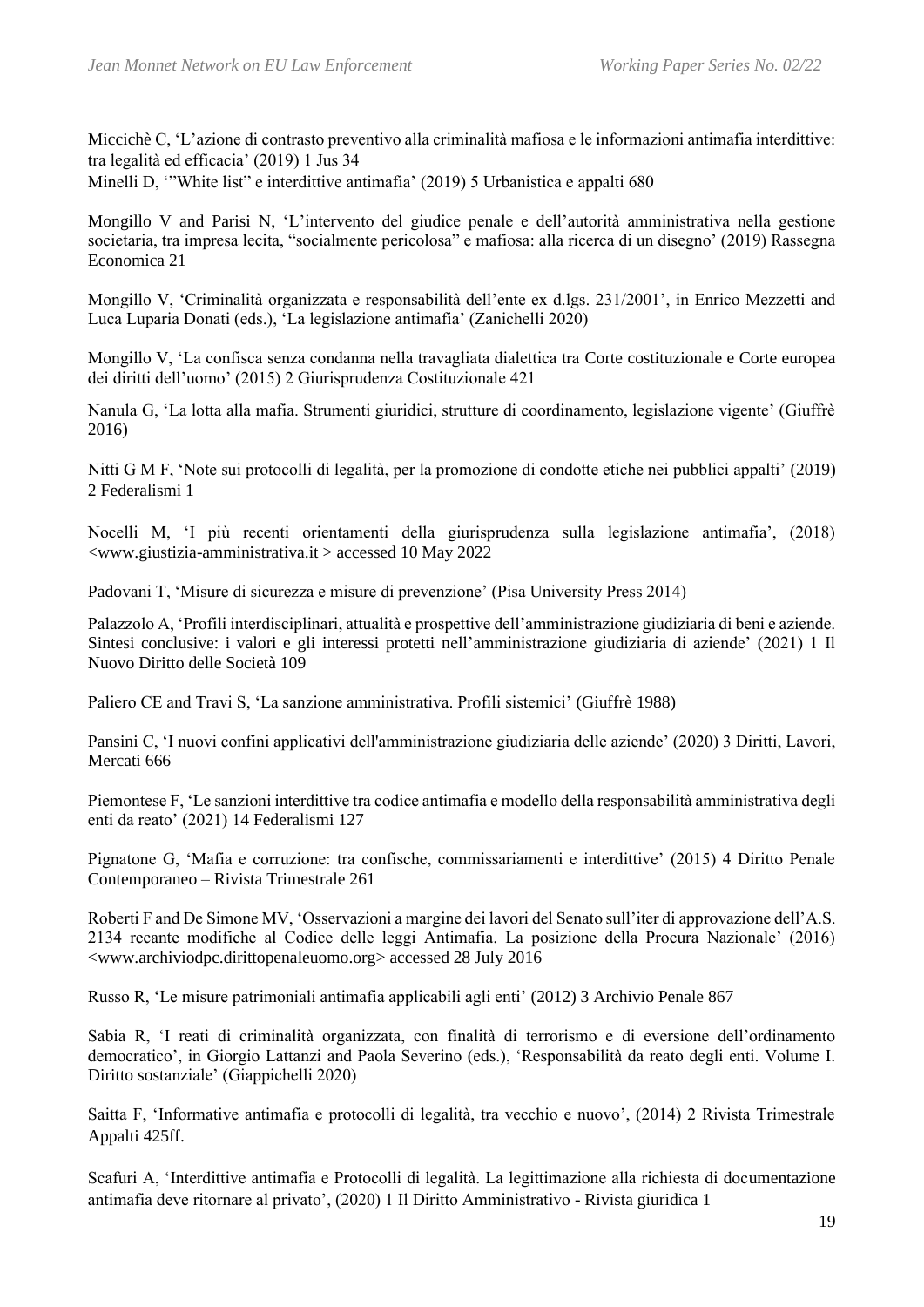Miccichè C, 'L'azione di contrasto preventivo alla criminalità mafiosa e le informazioni antimafia interdittive: tra legalità ed efficacia' (2019) 1 Jus 34

Minelli D, '"White list" e interdittive antimafia' (2019) 5 Urbanistica e appalti 680

Mongillo V and Parisi N, 'L'intervento del giudice penale e dell'autorità amministrativa nella gestione societaria, tra impresa lecita, "socialmente pericolosa" e mafiosa: alla ricerca di un disegno' (2019) Rassegna Economica 21

Mongillo V, 'Criminalità organizzata e responsabilità dell'ente ex d.lgs. 231/2001', in Enrico Mezzetti and Luca Luparia Donati (eds.), 'La legislazione antimafia' (Zanichelli 2020)

Mongillo V, 'La confisca senza condanna nella travagliata dialettica tra Corte costituzionale e Corte europea dei diritti dell'uomo' (2015) 2 Giurisprudenza Costituzionale 421

Nanula G, 'La lotta alla mafia. Strumenti giuridici, strutture di coordinamento, legislazione vigente' (Giuffrè 2016)

Nitti G M F, 'Note sui protocolli di legalità, per la promozione di condotte etiche nei pubblici appalti' (2019) 2 Federalismi 1

Nocelli M, 'I più recenti orientamenti della giurisprudenza sulla legislazione antimafia', (2018)  $\langle$ www.giustizia-amministrativa.it > accessed 10 May 2022

Padovani T, 'Misure di sicurezza e misure di prevenzione' (Pisa University Press 2014)

Palazzolo A, 'Profili interdisciplinari, attualità e prospettive dell'amministrazione giudiziaria di beni e aziende. Sintesi conclusive: i valori e gli interessi protetti nell'amministrazione giudiziaria di aziende' (2021) 1 Il Nuovo Diritto delle Società 109

Paliero CE and Travi S, 'La sanzione amministrativa. Profili sistemici' (Giuffrè 1988)

Pansini C, 'I nuovi confini applicativi dell'amministrazione giudiziaria delle aziende' (2020) 3 Diritti, Lavori, Mercati 666

Piemontese F, 'Le sanzioni interdittive tra codice antimafia e modello della responsabilità amministrativa degli enti da reato' (2021) 14 Federalismi 127

Pignatone G, 'Mafia e corruzione: tra confische, commissariamenti e interdittive' (2015) 4 Diritto Penale Contemporaneo – Rivista Trimestrale 261

Roberti F and De Simone MV, 'Osservazioni a margine dei lavori del Senato sull'iter di approvazione dell'A.S. 2134 recante modifiche al Codice delle leggi Antimafia. La posizione della Procura Nazionale' (2016) <www.archiviodpc.dirittopenaleuomo.org> accessed 28 July 2016

Russo R, 'Le misure patrimoniali antimafia applicabili agli enti' (2012) 3 Archivio Penale 867

Sabia R, 'I reati di criminalità organizzata, con finalità di terrorismo e di eversione dell'ordinamento democratico', in Giorgio Lattanzi and Paola Severino (eds.), 'Responsabilità da reato degli enti. Volume I. Diritto sostanziale' (Giappichelli 2020)

Saitta F, 'Informative antimafia e protocolli di legalità, tra vecchio e nuovo', (2014) 2 Rivista Trimestrale Appalti 425ff.

Scafuri A, 'Interdittive antimafia e Protocolli di legalità. La legittimazione alla richiesta di documentazione antimafia deve ritornare al privato', (2020) 1 Il Diritto Amministrativo - Rivista giuridica 1